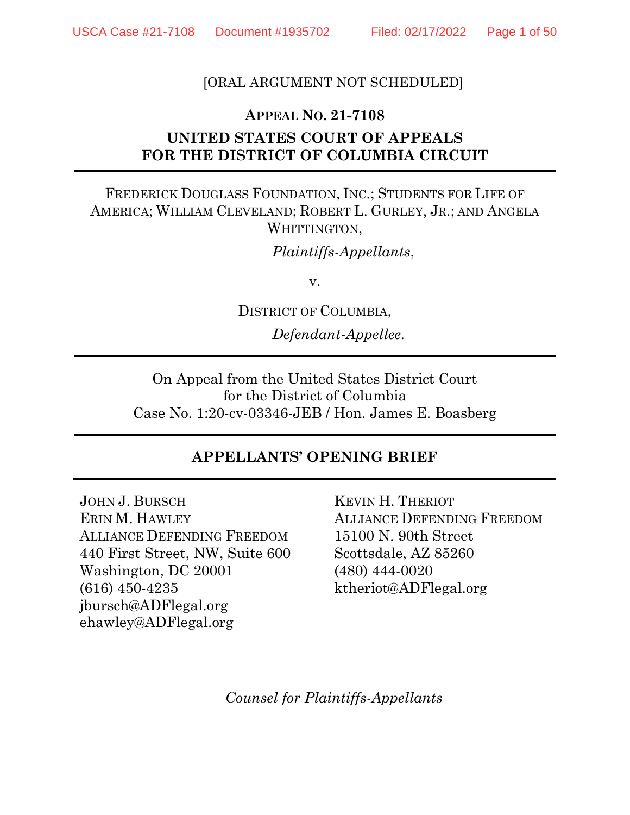#### [ORAL ARGUMENT NOT SCHEDULED]

#### **APPEAL NO. 21-7108**

# **UNITED STATES COURT OF APPEALS FOR THE DISTRICT OF COLUMBIA CIRCUIT**

#### FREDERICK DOUGLASS FOUNDATION, INC.; STUDENTS FOR LIFE OF AMERICA; WILLIAM CLEVELAND; ROBERT L. GURLEY, JR.; AND ANGELA WHITTINGTON,

*Plaintiffs-Appellants*,

v.

DISTRICT OF COLUMBIA,

*Defendant-Appellee.*

On Appeal from the United States District Court for the District of Columbia Case No. 1:20-cv-03346-JEB / Hon. James E. Boasberg

#### **APPELLANTS' OPENING BRIEF**

JOHN J. BURSCH ERIN M. HAWLEY ALLIANCE DEFENDING FREEDOM 440 First Street, NW, Suite 600 Washington, DC 20001 (616) 450-4235 jbursch@ADFlegal.org ehawley@ADFlegal.org

KEVIN H. THERIOT ALLIANCE DEFENDING FREEDOM 15100 N. 90th Street Scottsdale, AZ 85260 (480) 444-0020 ktheriot@ADFlegal.org

*Counsel for Plaintiffs-Appellants*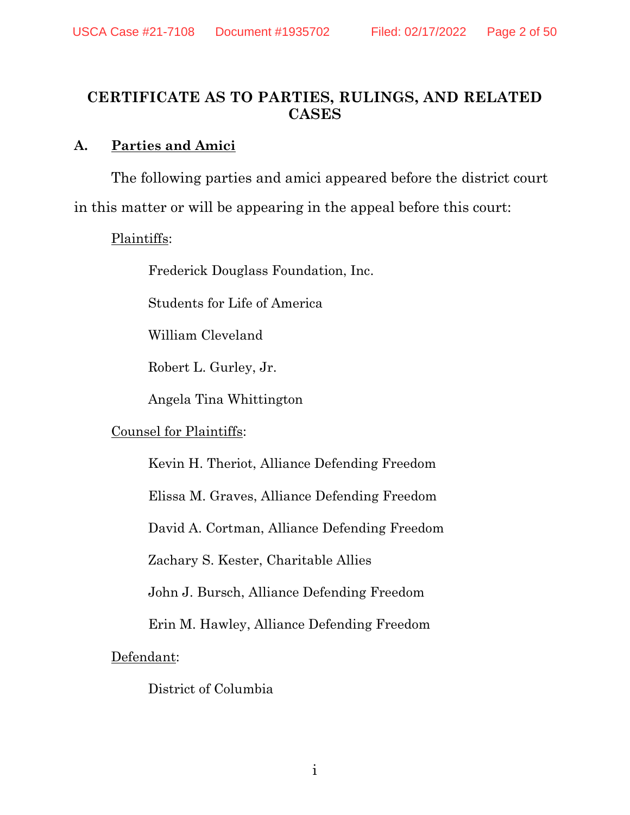#### <span id="page-1-0"></span>**CERTIFICATE AS TO PARTIES, RULINGS, AND RELATED CASES**

#### **A. Parties and Amici**

The following parties and amici appeared before the district court in this matter or will be appearing in the appeal before this court:

Plaintiffs:

Frederick Douglass Foundation, Inc.

Students for Life of America

William Cleveland

Robert L. Gurley, Jr.

Angela Tina Whittington

#### Counsel for Plaintiffs:

Kevin H. Theriot, Alliance Defending Freedom

Elissa M. Graves, Alliance Defending Freedom

David A. Cortman, Alliance Defending Freedom

Zachary S. Kester, Charitable Allies

John J. Bursch, Alliance Defending Freedom

Erin M. Hawley, Alliance Defending Freedom

Defendant:

District of Columbia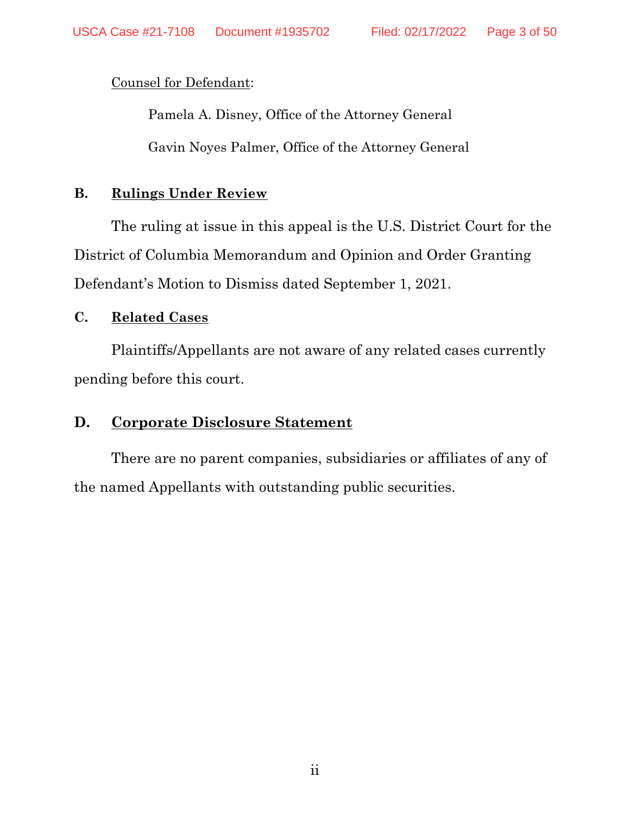Counsel for Defendant:

Pamela A. Disney, Office of the Attorney General Gavin Noyes Palmer, Office of the Attorney General

#### **B. Rulings Under Review**

The ruling at issue in this appeal is the U.S. District Court for the District of Columbia Memorandum and Opinion and Order Granting Defendant's Motion to Dismiss dated September 1, 2021.

#### **C. Related Cases**

Plaintiffs/Appellants are not aware of any related cases currently pending before this court.

# **D. Corporate Disclosure Statement**

There are no parent companies, subsidiaries or affiliates of any of the named Appellants with outstanding public securities.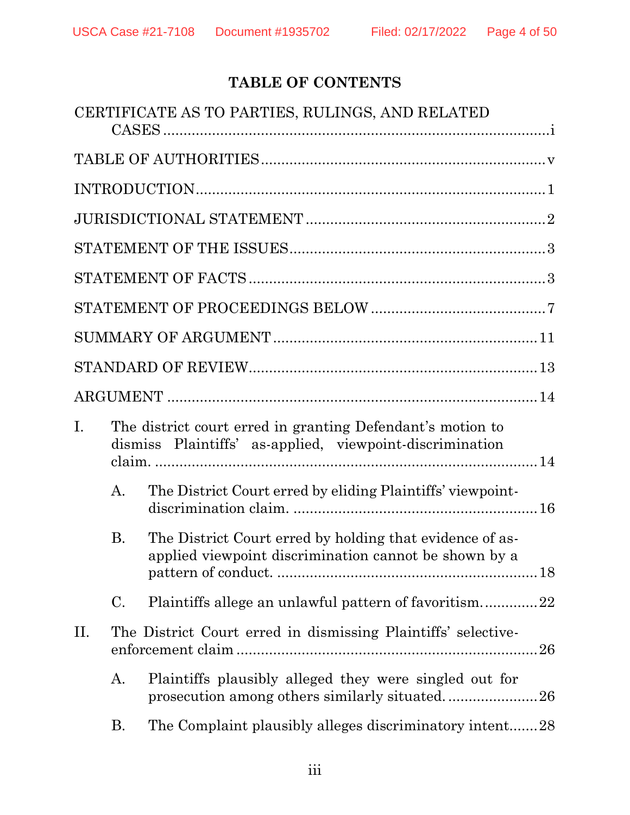# **TABLE OF CONTENTS**

|             |           | CERTIFICATE AS TO PARTIES, RULINGS, AND RELATED                                                                        |
|-------------|-----------|------------------------------------------------------------------------------------------------------------------------|
|             |           |                                                                                                                        |
|             |           |                                                                                                                        |
|             |           |                                                                                                                        |
|             |           |                                                                                                                        |
|             |           |                                                                                                                        |
|             |           |                                                                                                                        |
|             |           |                                                                                                                        |
|             |           |                                                                                                                        |
|             |           |                                                                                                                        |
| $I_{\cdot}$ |           | The district court erred in granting Defendant's motion to<br>dismiss Plaintiffs' as-applied, viewpoint-discrimination |
|             | A.        | The District Court erred by eliding Plaintiffs' viewpoint-                                                             |
|             | <b>B.</b> | The District Court erred by holding that evidence of as-<br>applied viewpoint discrimination cannot be shown by a      |
|             | C.        | Plaintiffs allege an unlawful pattern of favoritism22                                                                  |
| II.         |           | The District Court erred in dismissing Plaintiffs' selective-                                                          |
|             | А.        | Plaintiffs plausibly alleged they were singled out for<br>prosecution among others similarly situated26                |
|             | Β.        | The Complaint plausibly alleges discriminatory intent28                                                                |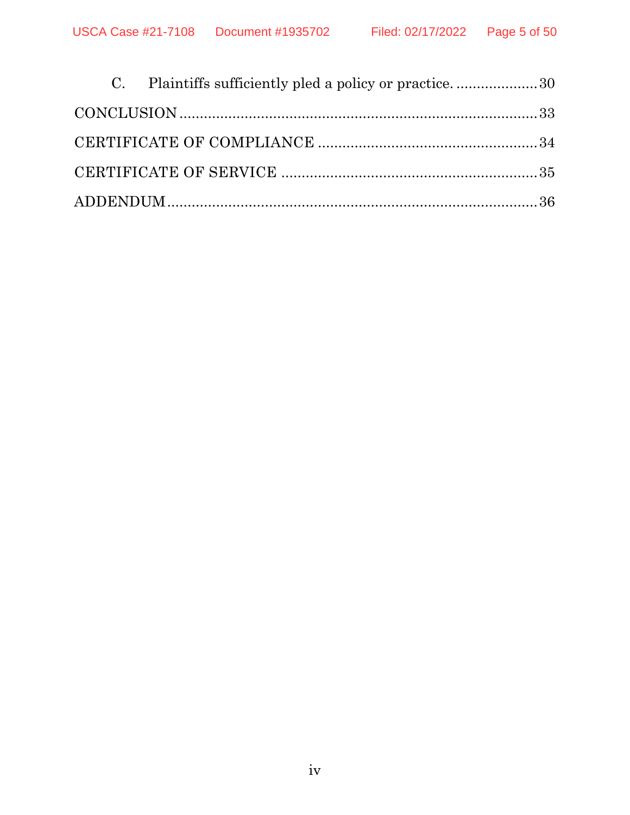|  | C. Plaintiffs sufficiently pled a policy or practice30 |  |
|--|--------------------------------------------------------|--|
|  |                                                        |  |
|  |                                                        |  |
|  |                                                        |  |
|  |                                                        |  |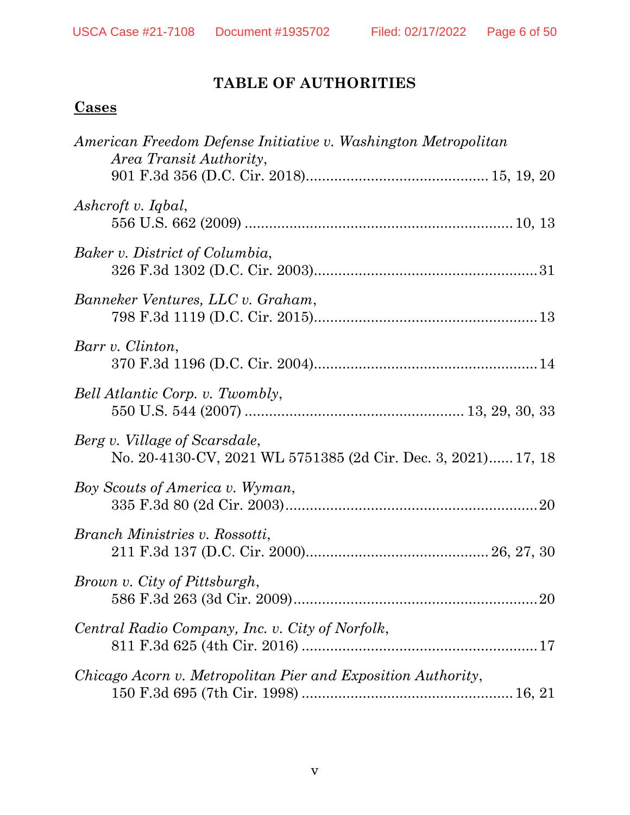# **TABLE OF AUTHORITIES**

# <span id="page-5-0"></span>**Cases**

| American Freedom Defense Initiative v. Washington Metropolitan<br>Area Transit Authority,      |  |
|------------------------------------------------------------------------------------------------|--|
|                                                                                                |  |
| Ashcroft v. Iqbal,                                                                             |  |
| Baker v. District of Columbia,                                                                 |  |
| Banneker Ventures, LLC v. Graham,                                                              |  |
| Barr v. Clinton,                                                                               |  |
| Bell Atlantic Corp. v. Twombly,                                                                |  |
| Berg v. Village of Scarsdale,<br>No. 20-4130-CV, 2021 WL 5751385 (2d Cir. Dec. 3, 2021) 17, 18 |  |
| Boy Scouts of America v. Wyman,                                                                |  |
| Branch Ministries v. Rossotti,                                                                 |  |
| Brown v. City of Pittsburgh,                                                                   |  |
| Central Radio Company, Inc. v. City of Norfolk,                                                |  |
| Chicago Acorn v. Metropolitan Pier and Exposition Authority,                                   |  |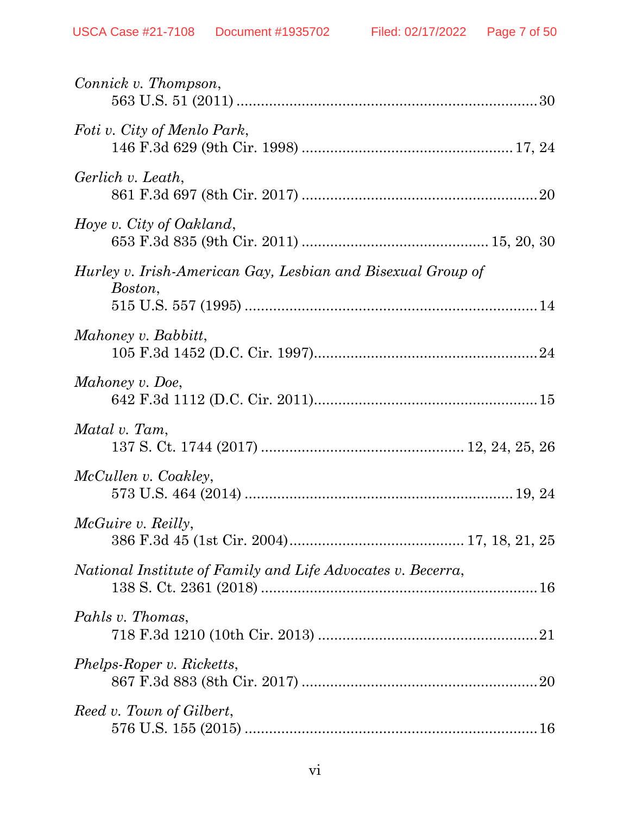| Connick v. Thompson,                                                   |
|------------------------------------------------------------------------|
| Foti v. City of Menlo Park,                                            |
| Gerlich v. Leath,                                                      |
| Hoye v. City of Oakland,                                               |
| Hurley v. Irish-American Gay, Lesbian and Bisexual Group of<br>Boston, |
| Mahoney v. Babbitt,                                                    |
| Mahoney v. Doe,                                                        |
| Matal v. Tam,                                                          |
| McCullen v. Coakley,                                                   |
| <i>McGuire v. Reilly,</i>                                              |
| National Institute of Family and Life Advocates v. Becerra,            |
| Pahls v. Thomas,                                                       |
| Phelps-Roper v. Ricketts,                                              |
| Reed v. Town of Gilbert,                                               |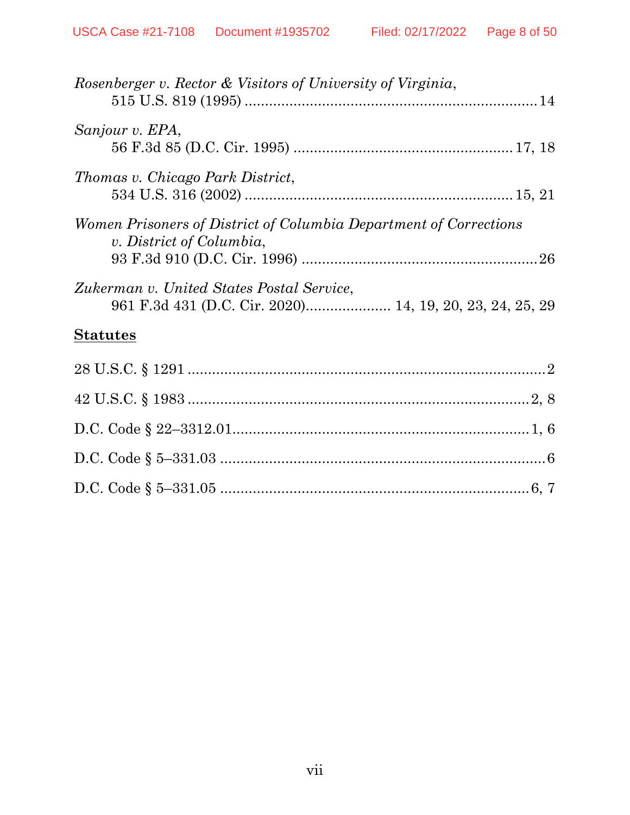| Rosenberger v. Rector & Visitors of University of Virginia,                                   |  |
|-----------------------------------------------------------------------------------------------|--|
| Sanjour v. EPA,                                                                               |  |
| Thomas v. Chicago Park District,                                                              |  |
| Women Prisoners of District of Columbia Department of Corrections<br>v. District of Columbia, |  |
| Zukerman v. United States Postal Service,                                                     |  |
| <b>Statutes</b>                                                                               |  |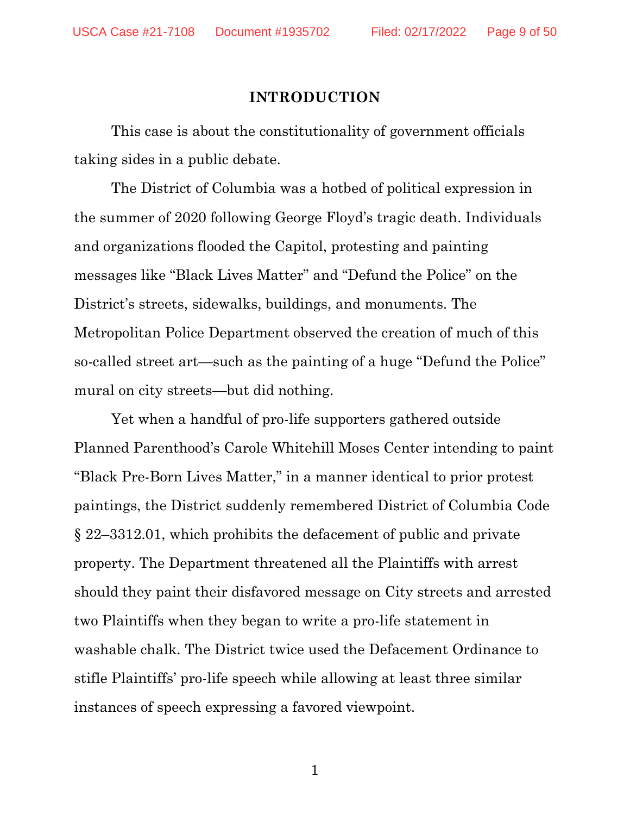#### **INTRODUCTION**

<span id="page-8-0"></span>This case is about the constitutionality of government officials taking sides in a public debate.

The District of Columbia was a hotbed of political expression in the summer of 2020 following George Floyd's tragic death. Individuals and organizations flooded the Capitol, protesting and painting messages like "Black Lives Matter" and "Defund the Police" on the District's streets, sidewalks, buildings, and monuments. The Metropolitan Police Department observed the creation of much of this so-called street art—such as the painting of a huge "Defund the Police" mural on city streets—but did nothing.

Yet when a handful of pro-life supporters gathered outside Planned Parenthood's Carole Whitehill Moses Center intending to paint "Black Pre-Born Lives Matter," in a manner identical to prior protest paintings, the District suddenly remembered District of Columbia Code § 22–3312.01, which prohibits the defacement of public and private property. The Department threatened all the Plaintiffs with arrest should they paint their disfavored message on City streets and arrested two Plaintiffs when they began to write a pro-life statement in washable chalk. The District twice used the Defacement Ordinance to stifle Plaintiffs' pro-life speech while allowing at least three similar instances of speech expressing a favored viewpoint.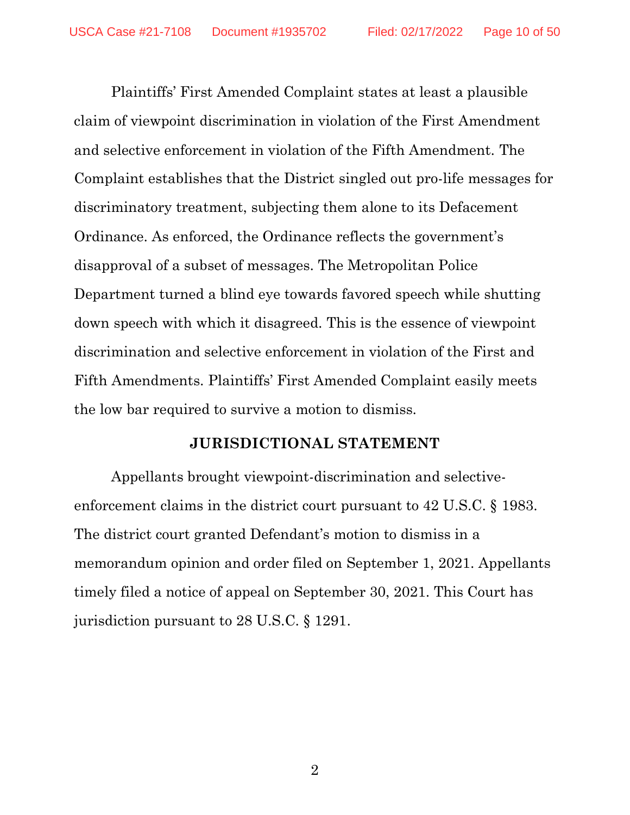Plaintiffs' First Amended Complaint states at least a plausible claim of viewpoint discrimination in violation of the First Amendment and selective enforcement in violation of the Fifth Amendment. The Complaint establishes that the District singled out pro-life messages for discriminatory treatment, subjecting them alone to its Defacement Ordinance. As enforced, the Ordinance reflects the government's disapproval of a subset of messages. The Metropolitan Police Department turned a blind eye towards favored speech while shutting down speech with which it disagreed. This is the essence of viewpoint discrimination and selective enforcement in violation of the First and Fifth Amendments. Plaintiffs' First Amended Complaint easily meets the low bar required to survive a motion to dismiss.

#### **JURISDICTIONAL STATEMENT**

<span id="page-9-0"></span>Appellants brought viewpoint-discrimination and selectiveenforcement claims in the district court pursuant to 42 U.S.C. § 1983. The district court granted Defendant's motion to dismiss in a memorandum opinion and order filed on September 1, 2021. Appellants timely filed a notice of appeal on September 30, 2021. This Court has jurisdiction pursuant to 28 U.S.C. § 1291.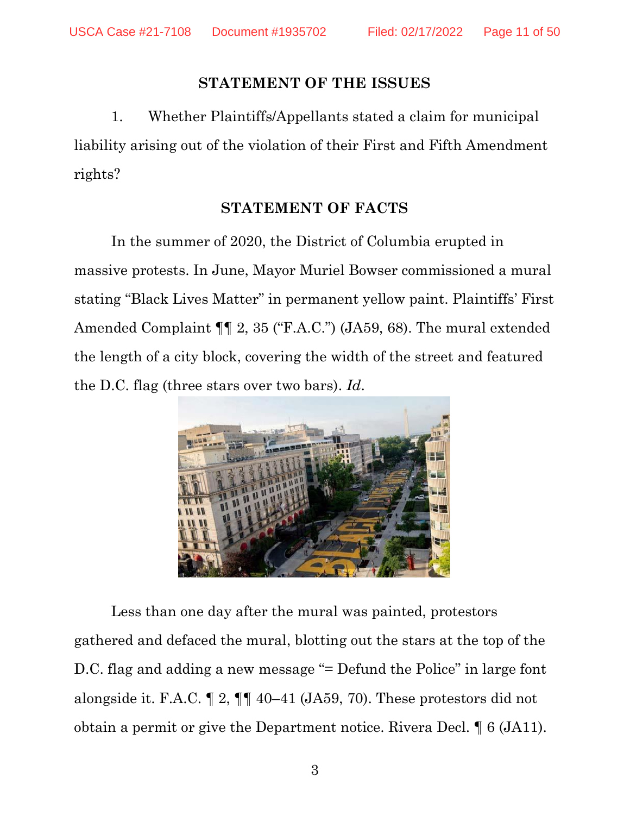#### **STATEMENT OF THE ISSUES**

<span id="page-10-0"></span>1. Whether Plaintiffs/Appellants stated a claim for municipal liability arising out of the violation of their First and Fifth Amendment rights?

# **STATEMENT OF FACTS**

<span id="page-10-1"></span>In the summer of 2020, the District of Columbia erupted in massive protests. In June, Mayor Muriel Bowser commissioned a mural stating "Black Lives Matter" in permanent yellow paint. Plaintiffs' First Amended Complaint ¶¶ 2, 35 ("F.A.C.") (JA59, 68). The mural extended the length of a city block, covering the width of the street and featured the D.C. flag (three stars over two bars). *Id*.



Less than one day after the mural was painted, protestors gathered and defaced the mural, blotting out the stars at the top of the D.C. flag and adding a new message "= Defund the Police" in large font alongside it. F.A.C. ¶ 2, ¶¶ 40–41 (JA59, 70). These protestors did not obtain a permit or give the Department notice. Rivera Decl. ¶ 6 (JA11).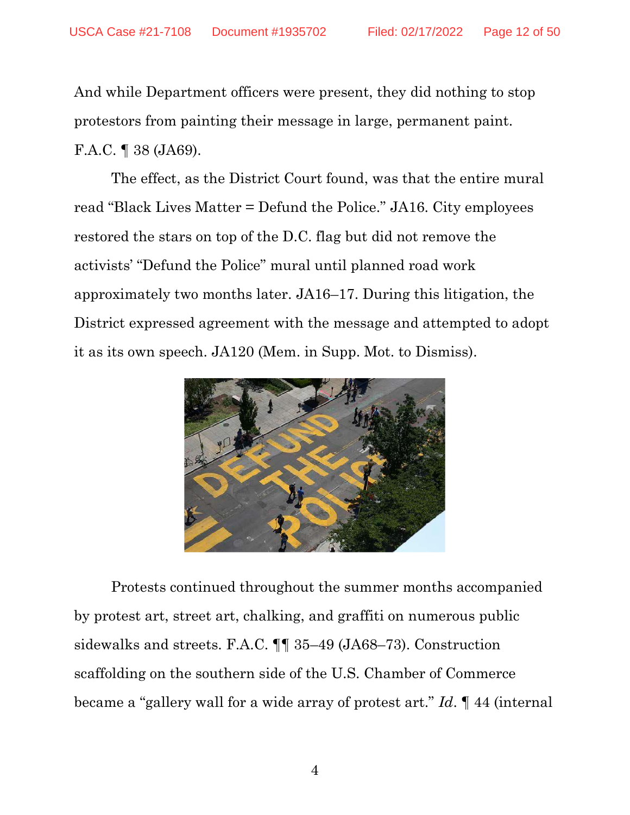And while Department officers were present, they did nothing to stop protestors from painting their message in large, permanent paint. F.A.C. ¶ 38 (JA69).

The effect, as the District Court found, was that the entire mural read "Black Lives Matter = Defund the Police." JA16. City employees restored the stars on top of the D.C. flag but did not remove the activists' "Defund the Police" mural until planned road work approximately two months later. JA16–17. During this litigation, the District expressed agreement with the message and attempted to adopt it as its own speech. JA120 (Mem. in Supp. Mot. to Dismiss).



Protests continued throughout the summer months accompanied by protest art, street art, chalking, and graffiti on numerous public sidewalks and streets. F.A.C. ¶¶ 35–49 (JA68–73). Construction scaffolding on the southern side of the U.S. Chamber of Commerce became a "gallery wall for a wide array of protest art." *Id*. ¶ 44 (internal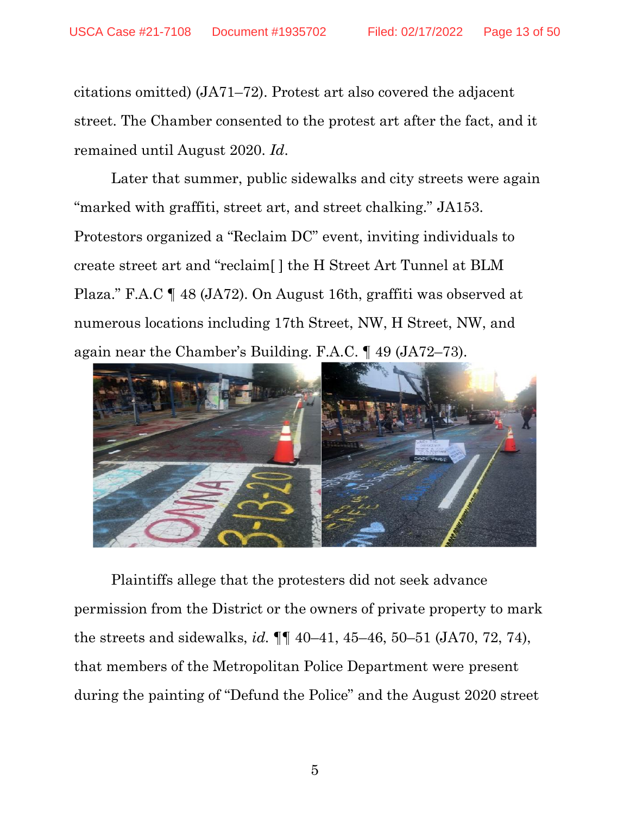citations omitted) (JA71–72). Protest art also covered the adjacent street. The Chamber consented to the protest art after the fact, and it remained until August 2020. *Id*.

Later that summer, public sidewalks and city streets were again "marked with graffiti, street art, and street chalking." JA153. Protestors organized a "Reclaim DC" event, inviting individuals to create street art and "reclaim[ ] the H Street Art Tunnel at BLM Plaza." F.A.C ¶ 48 (JA72). On August 16th, graffiti was observed at numerous locations including 17th Street, NW, H Street, NW, and again near the Chamber's Building. F.A.C. ¶ 49 (JA72–73).



Plaintiffs allege that the protesters did not seek advance permission from the District or the owners of private property to mark the streets and sidewalks, *id.* ¶¶ 40–41, 45–46, 50–51 (JA70, 72, 74), that members of the Metropolitan Police Department were present during the painting of "Defund the Police" and the August 2020 street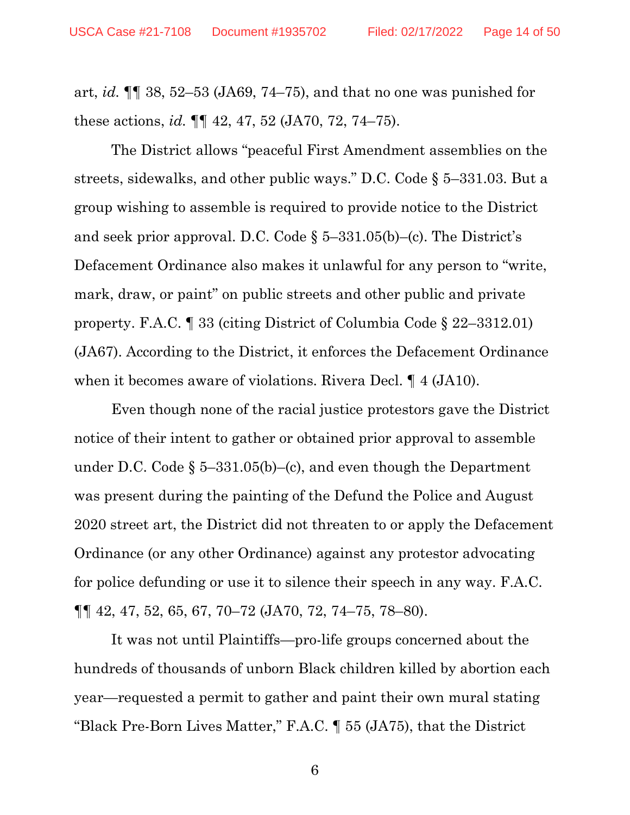art, *id.* ¶¶ 38, 52–53 (JA69, 74–75), and that no one was punished for these actions, *id.* ¶¶ 42, 47, 52 (JA70, 72, 74–75).

The District allows "peaceful First Amendment assemblies on the streets, sidewalks, and other public ways." D.C. Code § 5–331.03. But a group wishing to assemble is required to provide notice to the District and seek prior approval. D.C. Code  $\S$  5–331.05(b)–(c). The District's Defacement Ordinance also makes it unlawful for any person to "write, mark, draw, or paint" on public streets and other public and private property. F.A.C. ¶ 33 (citing District of Columbia Code § 22–3312.01) (JA67). According to the District, it enforces the Defacement Ordinance when it becomes aware of violations. Rivera Decl. ¶ 4 (JA10).

Even though none of the racial justice protestors gave the District notice of their intent to gather or obtained prior approval to assemble under D.C. Code  $\S$  5–331.05(b)–(c), and even though the Department was present during the painting of the Defund the Police and August 2020 street art, the District did not threaten to or apply the Defacement Ordinance (or any other Ordinance) against any protestor advocating for police defunding or use it to silence their speech in any way. F.A.C. ¶¶ 42, 47, 52, 65, 67, 70–72 (JA70, 72, 74–75, 78–80).

It was not until Plaintiffs—pro-life groups concerned about the hundreds of thousands of unborn Black children killed by abortion each year—requested a permit to gather and paint their own mural stating "Black Pre-Born Lives Matter," F.A.C. ¶ 55 (JA75), that the District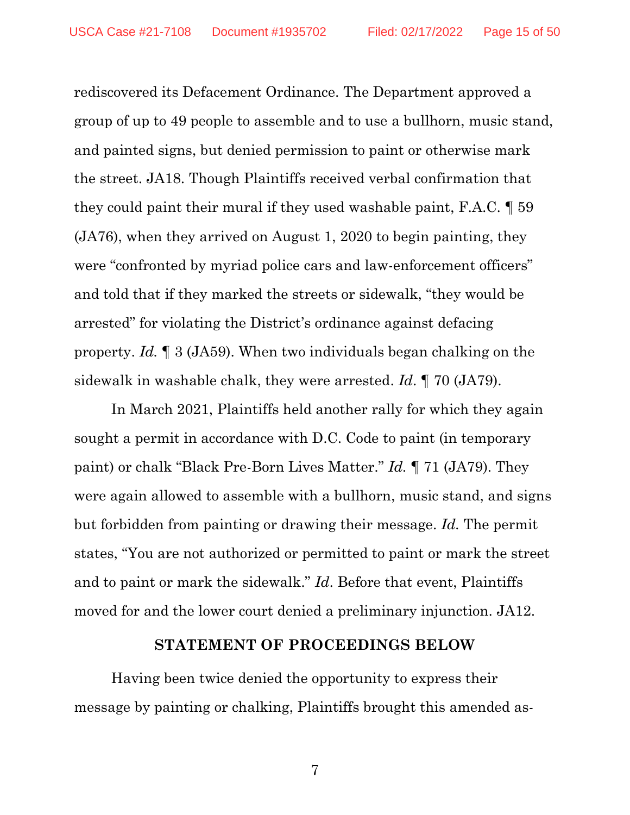rediscovered its Defacement Ordinance. The Department approved a group of up to 49 people to assemble and to use a bullhorn, music stand, and painted signs, but denied permission to paint or otherwise mark the street. JA18. Though Plaintiffs received verbal confirmation that they could paint their mural if they used washable paint, F.A.C. ¶ 59 (JA76), when they arrived on August 1, 2020 to begin painting, they were "confronted by myriad police cars and law-enforcement officers" and told that if they marked the streets or sidewalk, "they would be arrested" for violating the District's ordinance against defacing property. *Id.* ¶ 3 (JA59). When two individuals began chalking on the sidewalk in washable chalk, they were arrested. *Id*. ¶ 70 (JA79).

In March 2021, Plaintiffs held another rally for which they again sought a permit in accordance with D.C. Code to paint (in temporary paint) or chalk "Black Pre-Born Lives Matter." *Id.* ¶ 71 (JA79). They were again allowed to assemble with a bullhorn, music stand, and signs but forbidden from painting or drawing their message. *Id.* The permit states, "You are not authorized or permitted to paint or mark the street and to paint or mark the sidewalk." *Id*. Before that event, Plaintiffs moved for and the lower court denied a preliminary injunction. JA12.

#### **STATEMENT OF PROCEEDINGS BELOW**

<span id="page-14-0"></span>Having been twice denied the opportunity to express their message by painting or chalking, Plaintiffs brought this amended as-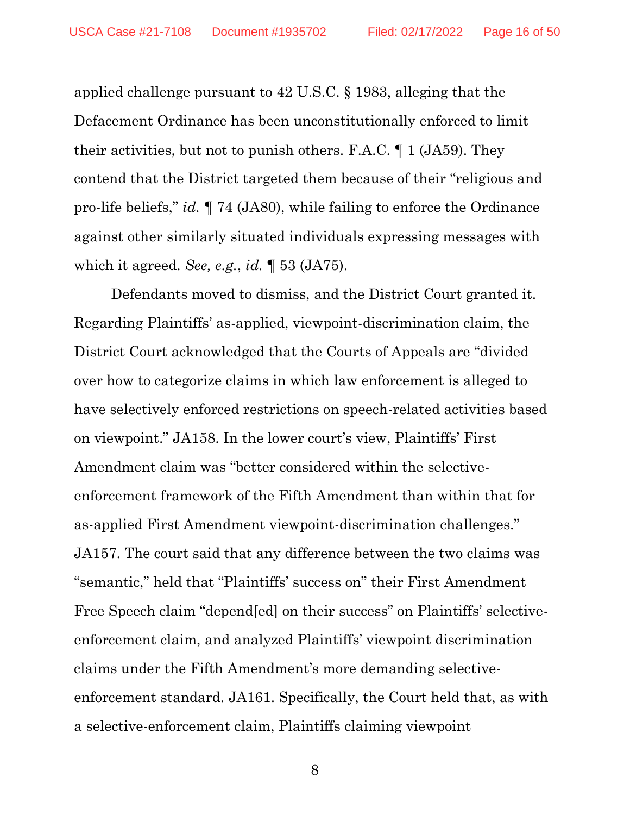applied challenge pursuant to 42 U.S.C. § 1983, alleging that the Defacement Ordinance has been unconstitutionally enforced to limit their activities, but not to punish others. F.A.C. ¶ 1 (JA59). They contend that the District targeted them because of their "religious and pro-life beliefs," *id.* ¶ 74 (JA80), while failing to enforce the Ordinance against other similarly situated individuals expressing messages with which it agreed. *See, e.g.*, *id.* ¶ 53 (JA75).

Defendants moved to dismiss, and the District Court granted it. Regarding Plaintiffs' as-applied, viewpoint-discrimination claim, the District Court acknowledged that the Courts of Appeals are "divided over how to categorize claims in which law enforcement is alleged to have selectively enforced restrictions on speech-related activities based on viewpoint." JA158. In the lower court's view, Plaintiffs' First Amendment claim was "better considered within the selectiveenforcement framework of the Fifth Amendment than within that for as-applied First Amendment viewpoint-discrimination challenges." JA157. The court said that any difference between the two claims was "semantic," held that "Plaintiffs' success on" their First Amendment Free Speech claim "depend[ed] on their success" on Plaintiffs' selectiveenforcement claim, and analyzed Plaintiffs' viewpoint discrimination claims under the Fifth Amendment's more demanding selectiveenforcement standard. JA161. Specifically, the Court held that, as with a selective-enforcement claim, Plaintiffs claiming viewpoint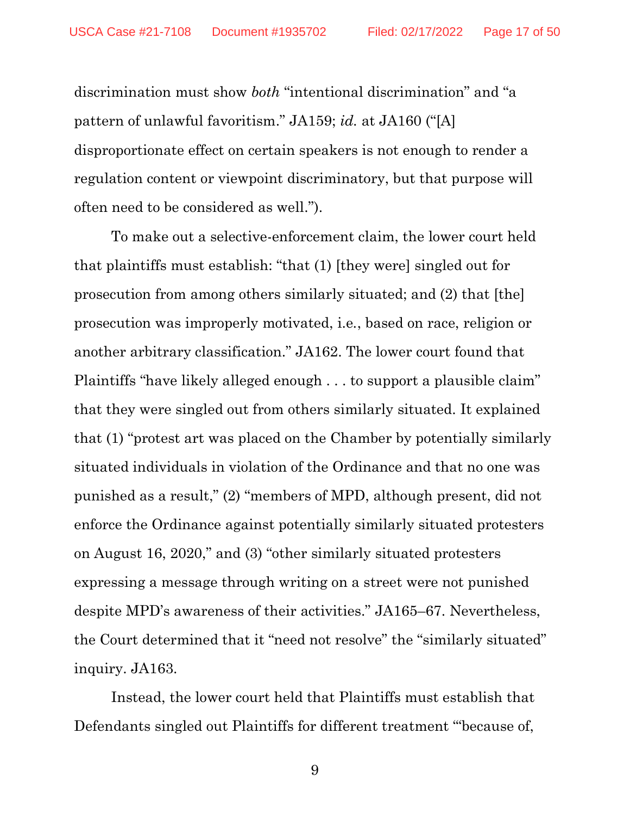discrimination must show *both* "intentional discrimination" and "a pattern of unlawful favoritism." JA159; *id.* at JA160 ("[A] disproportionate effect on certain speakers is not enough to render a regulation content or viewpoint discriminatory, but that purpose will often need to be considered as well.").

To make out a selective-enforcement claim, the lower court held that plaintiffs must establish: "that (1) [they were] singled out for prosecution from among others similarly situated; and (2) that [the] prosecution was improperly motivated, i.e*.*, based on race, religion or another arbitrary classification." JA162. The lower court found that Plaintiffs "have likely alleged enough . . . to support a plausible claim" that they were singled out from others similarly situated. It explained that (1) "protest art was placed on the Chamber by potentially similarly situated individuals in violation of the Ordinance and that no one was punished as a result," (2) "members of MPD, although present, did not enforce the Ordinance against potentially similarly situated protesters on August 16, 2020," and (3) "other similarly situated protesters expressing a message through writing on a street were not punished despite MPD's awareness of their activities." JA165–67. Nevertheless, the Court determined that it "need not resolve" the "similarly situated" inquiry. JA163.

Instead, the lower court held that Plaintiffs must establish that Defendants singled out Plaintiffs for different treatment "'because of,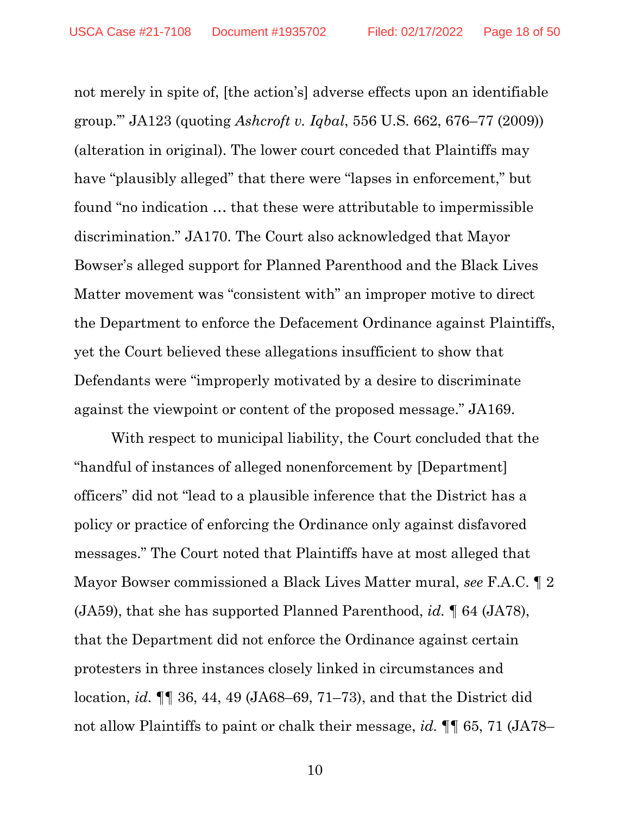not merely in spite of, [the action's] adverse effects upon an identifiable group.'" JA123 (quoting *Ashcroft v. Iqbal*, 556 U.S. 662, 676–77 (2009)) (alteration in original). The lower court conceded that Plaintiffs may have "plausibly alleged" that there were "lapses in enforcement," but found "no indication … that these were attributable to impermissible discrimination." JA170. The Court also acknowledged that Mayor Bowser's alleged support for Planned Parenthood and the Black Lives Matter movement was "consistent with" an improper motive to direct the Department to enforce the Defacement Ordinance against Plaintiffs, yet the Court believed these allegations insufficient to show that Defendants were "improperly motivated by a desire to discriminate against the viewpoint or content of the proposed message." JA169.

With respect to municipal liability, the Court concluded that the "handful of instances of alleged nonenforcement by [Department] officers" did not "lead to a plausible inference that the District has a policy or practice of enforcing the Ordinance only against disfavored messages." The Court noted that Plaintiffs have at most alleged that Mayor Bowser commissioned a Black Lives Matter mural, *see* F.A.C. ¶ 2 (JA59), that she has supported Planned Parenthood, *id.* ¶ 64 (JA78), that the Department did not enforce the Ordinance against certain protesters in three instances closely linked in circumstances and location, *id.* ¶¶ 36, 44, 49 (JA68–69, 71–73), and that the District did not allow Plaintiffs to paint or chalk their message, *id.* ¶¶ 65, 71 (JA78–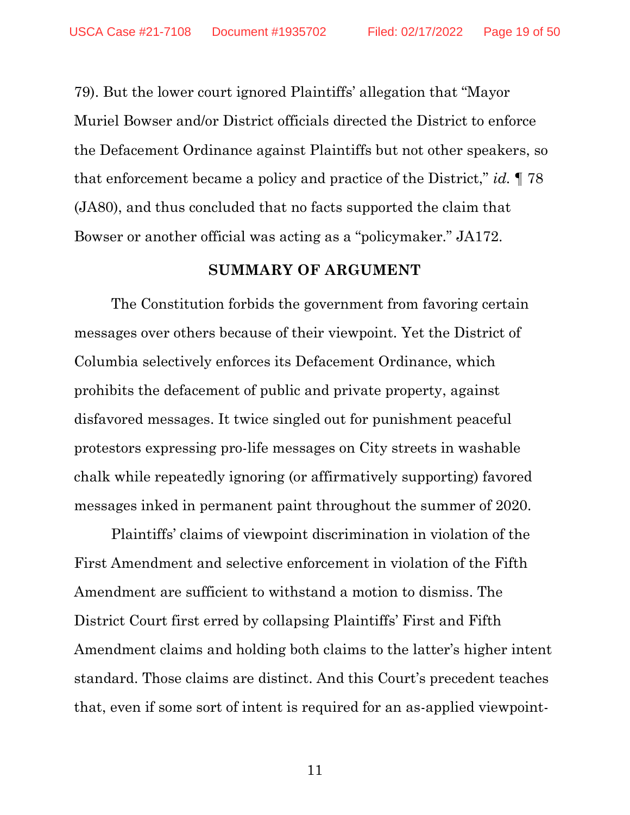79). But the lower court ignored Plaintiffs' allegation that "Mayor Muriel Bowser and/or District officials directed the District to enforce the Defacement Ordinance against Plaintiffs but not other speakers, so that enforcement became a policy and practice of the District," *id.* ¶ 78 (JA80), and thus concluded that no facts supported the claim that Bowser or another official was acting as a "policymaker." JA172.

#### **SUMMARY OF ARGUMENT**

<span id="page-18-0"></span>The Constitution forbids the government from favoring certain messages over others because of their viewpoint. Yet the District of Columbia selectively enforces its Defacement Ordinance, which prohibits the defacement of public and private property, against disfavored messages. It twice singled out for punishment peaceful protestors expressing pro-life messages on City streets in washable chalk while repeatedly ignoring (or affirmatively supporting) favored messages inked in permanent paint throughout the summer of 2020.

Plaintiffs' claims of viewpoint discrimination in violation of the First Amendment and selective enforcement in violation of the Fifth Amendment are sufficient to withstand a motion to dismiss. The District Court first erred by collapsing Plaintiffs' First and Fifth Amendment claims and holding both claims to the latter's higher intent standard. Those claims are distinct. And this Court's precedent teaches that, even if some sort of intent is required for an as-applied viewpoint-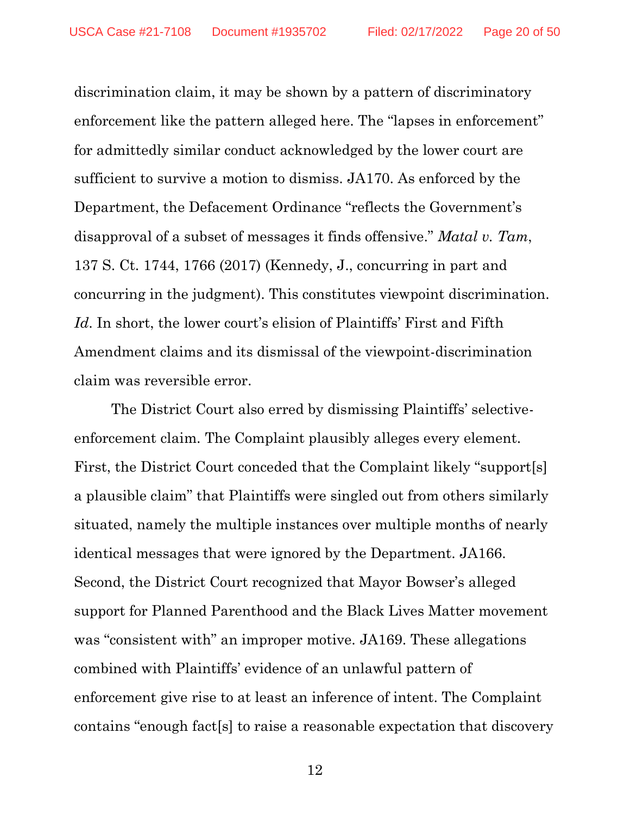discrimination claim, it may be shown by a pattern of discriminatory enforcement like the pattern alleged here. The "lapses in enforcement" for admittedly similar conduct acknowledged by the lower court are sufficient to survive a motion to dismiss. JA170. As enforced by the Department, the Defacement Ordinance "reflects the Government's disapproval of a subset of messages it finds offensive." *Matal v. Tam*, 137 S. Ct. 1744, 1766 (2017) (Kennedy, J., concurring in part and concurring in the judgment). This constitutes viewpoint discrimination. Id. In short, the lower court's elision of Plaintiffs' First and Fifth Amendment claims and its dismissal of the viewpoint-discrimination claim was reversible error.

The District Court also erred by dismissing Plaintiffs' selectiveenforcement claim. The Complaint plausibly alleges every element. First, the District Court conceded that the Complaint likely "support[s] a plausible claim" that Plaintiffs were singled out from others similarly situated, namely the multiple instances over multiple months of nearly identical messages that were ignored by the Department. JA166. Second, the District Court recognized that Mayor Bowser's alleged support for Planned Parenthood and the Black Lives Matter movement was "consistent with" an improper motive. JA169. These allegations combined with Plaintiffs' evidence of an unlawful pattern of enforcement give rise to at least an inference of intent. The Complaint contains "enough fact[s] to raise a reasonable expectation that discovery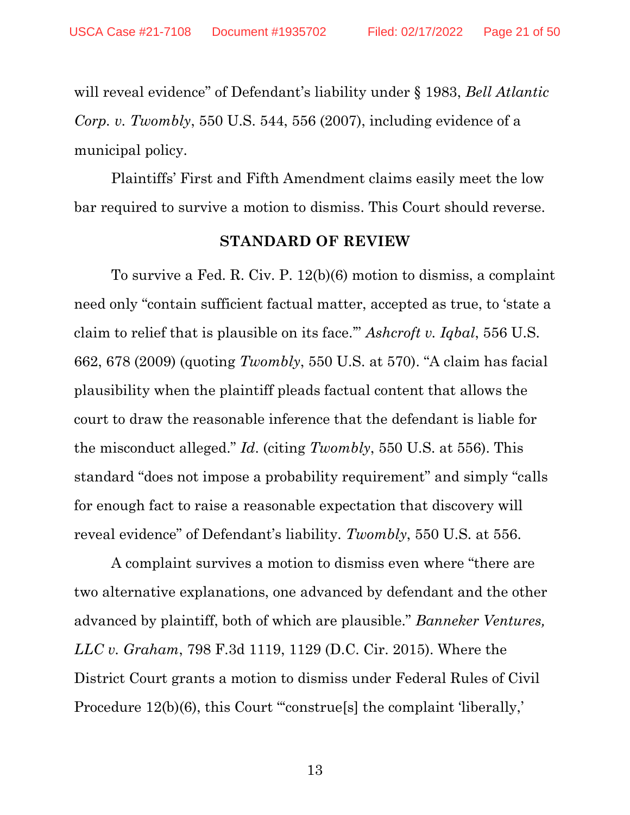will reveal evidence" of Defendant's liability under § 1983, *Bell Atlantic Corp. v. Twombly*, 550 U.S. 544, 556 (2007), including evidence of a municipal policy.

<span id="page-20-0"></span>Plaintiffs' First and Fifth Amendment claims easily meet the low bar required to survive a motion to dismiss. This Court should reverse.

#### **STANDARD OF REVIEW**

To survive a Fed. R. Civ. P. 12(b)(6) motion to dismiss, a complaint need only "contain sufficient factual matter, accepted as true, to 'state a claim to relief that is plausible on its face.'" *Ashcroft v. Iqbal*, 556 U.S. 662, 678 (2009) (quoting *Twombly*, 550 U.S. at 570). "A claim has facial plausibility when the plaintiff pleads factual content that allows the court to draw the reasonable inference that the defendant is liable for the misconduct alleged." *Id*. (citing *Twombly*, 550 U.S. at 556). This standard "does not impose a probability requirement" and simply "calls for enough fact to raise a reasonable expectation that discovery will reveal evidence" of Defendant's liability. *Twombly*, 550 U.S. at 556.

A complaint survives a motion to dismiss even where "there are two alternative explanations, one advanced by defendant and the other advanced by plaintiff, both of which are plausible." *Banneker Ventures, LLC v. Graham*, 798 F.3d 1119, 1129 (D.C. Cir. 2015). Where the District Court grants a motion to dismiss under Federal Rules of Civil Procedure 12(b)(6), this Court "construe<sup>[s]</sup> the complaint 'liberally,'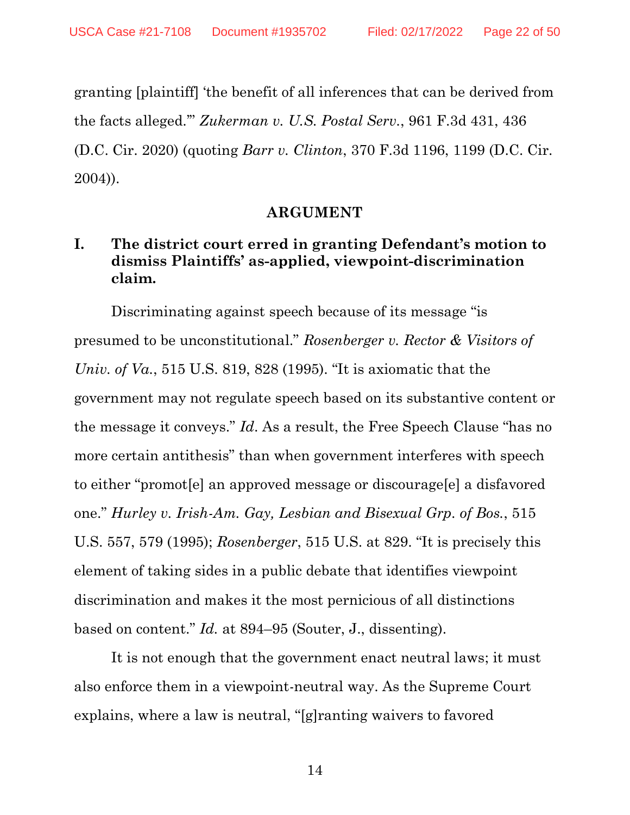granting [plaintiff] 'the benefit of all inferences that can be derived from the facts alleged.'" *Zukerman v. U.S. Postal Serv.*, 961 F.3d 431, 436 (D.C. Cir. 2020) (quoting *Barr v. Clinton*, 370 F.3d 1196, 1199 (D.C. Cir. 2004)).

#### **ARGUMENT**

### <span id="page-21-1"></span><span id="page-21-0"></span>**I. The district court erred in granting Defendant's motion to dismiss Plaintiffs' as-applied, viewpoint-discrimination claim.**

Discriminating against speech because of its message "is presumed to be unconstitutional." *Rosenberger v. Rector & Visitors of Univ. of Va.*, 515 U.S. 819, 828 (1995). "It is axiomatic that the government may not regulate speech based on its substantive content or the message it conveys." *Id*. As a result, the Free Speech Clause "has no more certain antithesis" than when government interferes with speech to either "promot[e] an approved message or discourage[e] a disfavored one." *Hurley v. Irish-Am. Gay, Lesbian and Bisexual Grp. of Bos.*, 515 U.S. 557, 579 (1995); *Rosenberger*, 515 U.S. at 829. "It is precisely this element of taking sides in a public debate that identifies viewpoint discrimination and makes it the most pernicious of all distinctions based on content." *Id.* at 894–95 (Souter, J., dissenting).

It is not enough that the government enact neutral laws; it must also enforce them in a viewpoint-neutral way. As the Supreme Court explains, where a law is neutral, "[g]ranting waivers to favored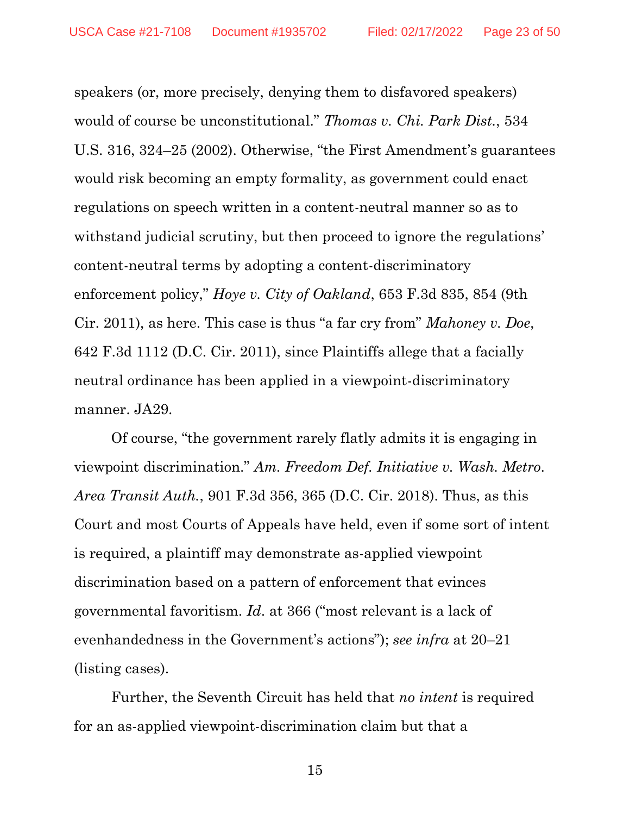speakers (or, more precisely, denying them to disfavored speakers) would of course be unconstitutional." *Thomas v. Chi. Park Dist.*, 534 U.S. 316, 324–25 (2002). Otherwise, "the First Amendment's guarantees would risk becoming an empty formality, as government could enact regulations on speech written in a content-neutral manner so as to withstand judicial scrutiny, but then proceed to ignore the regulations' content-neutral terms by adopting a content-discriminatory enforcement policy," *Hoye v. City of Oakland*, 653 F.3d 835, 854 (9th Cir. 2011), as here. This case is thus "a far cry from" *Mahoney v. Doe*, 642 F.3d 1112 (D.C. Cir. 2011), since Plaintiffs allege that a facially neutral ordinance has been applied in a viewpoint-discriminatory manner. JA29.

Of course, "the government rarely flatly admits it is engaging in viewpoint discrimination." *Am. Freedom Def. Initiative v. Wash. Metro. Area Transit Auth.*, 901 F.3d 356, 365 (D.C. Cir. 2018). Thus, as this Court and most Courts of Appeals have held, even if some sort of intent is required, a plaintiff may demonstrate as-applied viewpoint discrimination based on a pattern of enforcement that evinces governmental favoritism. *Id*. at 366 ("most relevant is a lack of evenhandedness in the Government's actions"); *see infra* at 20–21 (listing cases).

Further, the Seventh Circuit has held that *no intent* is required for an as-applied viewpoint-discrimination claim but that a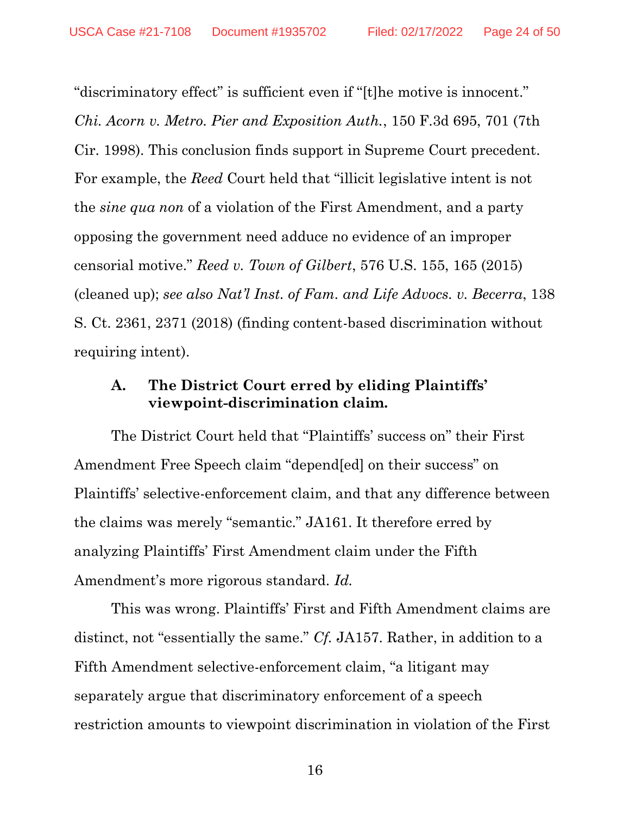"discriminatory effect" is sufficient even if "[t]he motive is innocent." *Chi. Acorn v. Metro. Pier and Exposition Auth.*, 150 F.3d 695, 701 (7th Cir. 1998). This conclusion finds support in Supreme Court precedent. For example, the *Reed* Court held that "illicit legislative intent is not the *sine qua non* of a violation of the First Amendment, and a party opposing the government need adduce no evidence of an improper censorial motive." *Reed v. Town of Gilbert*, 576 U.S. 155, 165 (2015) (cleaned up); *see also Nat'l Inst. of Fam. and Life Advocs. v. Becerra*, 138 S. Ct. 2361, 2371 (2018) (finding content-based discrimination without requiring intent).

#### <span id="page-23-0"></span>**A. The District Court erred by eliding Plaintiffs' viewpoint-discrimination claim.**

The District Court held that "Plaintiffs' success on" their First Amendment Free Speech claim "depend[ed] on their success" on Plaintiffs' selective-enforcement claim, and that any difference between the claims was merely "semantic." JA161. It therefore erred by analyzing Plaintiffs' First Amendment claim under the Fifth Amendment's more rigorous standard. *Id.*

This was wrong. Plaintiffs' First and Fifth Amendment claims are distinct, not "essentially the same." *Cf.* JA157. Rather, in addition to a Fifth Amendment selective-enforcement claim, "a litigant may separately argue that discriminatory enforcement of a speech restriction amounts to viewpoint discrimination in violation of the First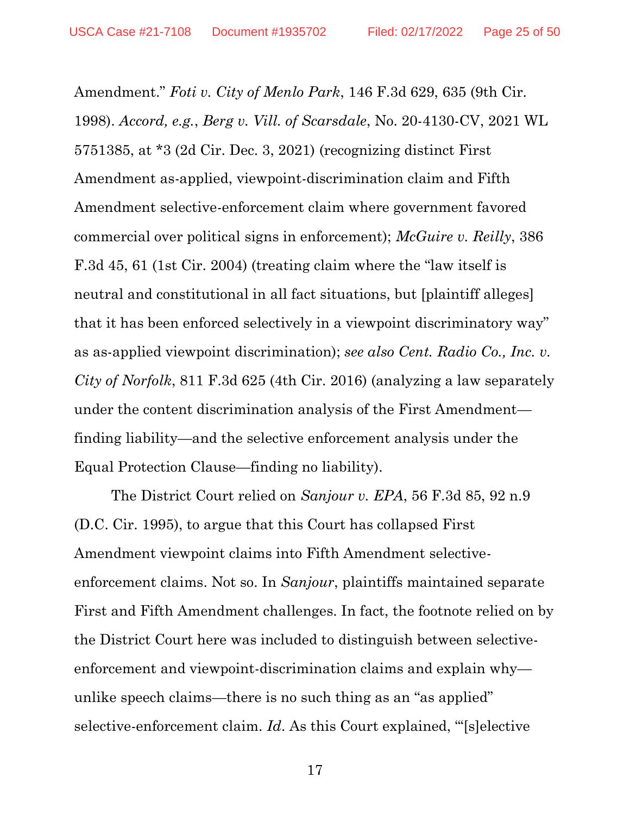Amendment." *Foti v. City of Menlo Park*, 146 F.3d 629, 635 (9th Cir. 1998). *Accord, e.g.*, *Berg v. Vill. of Scarsdale*, No. 20-4130-CV, 2021 WL 5751385, at \*3 (2d Cir. Dec. 3, 2021) (recognizing distinct First Amendment as-applied, viewpoint-discrimination claim and Fifth Amendment selective-enforcement claim where government favored commercial over political signs in enforcement); *McGuire v. Reilly*, 386 F.3d 45, 61 (1st Cir. 2004) (treating claim where the "law itself is neutral and constitutional in all fact situations, but [plaintiff alleges] that it has been enforced selectively in a viewpoint discriminatory way" as as-applied viewpoint discrimination); *see also Cent. Radio Co., Inc. v. City of Norfolk*, 811 F.3d 625 (4th Cir. 2016) (analyzing a law separately under the content discrimination analysis of the First Amendment finding liability—and the selective enforcement analysis under the Equal Protection Clause—finding no liability).

The District Court relied on *Sanjour v. EPA*, 56 F.3d 85, 92 n.9 (D.C. Cir. 1995), to argue that this Court has collapsed First Amendment viewpoint claims into Fifth Amendment selectiveenforcement claims. Not so. In *Sanjour*, plaintiffs maintained separate First and Fifth Amendment challenges. In fact, the footnote relied on by the District Court here was included to distinguish between selectiveenforcement and viewpoint-discrimination claims and explain whyunlike speech claims—there is no such thing as an "as applied" selective-enforcement claim. *Id*. As this Court explained, "'[s]elective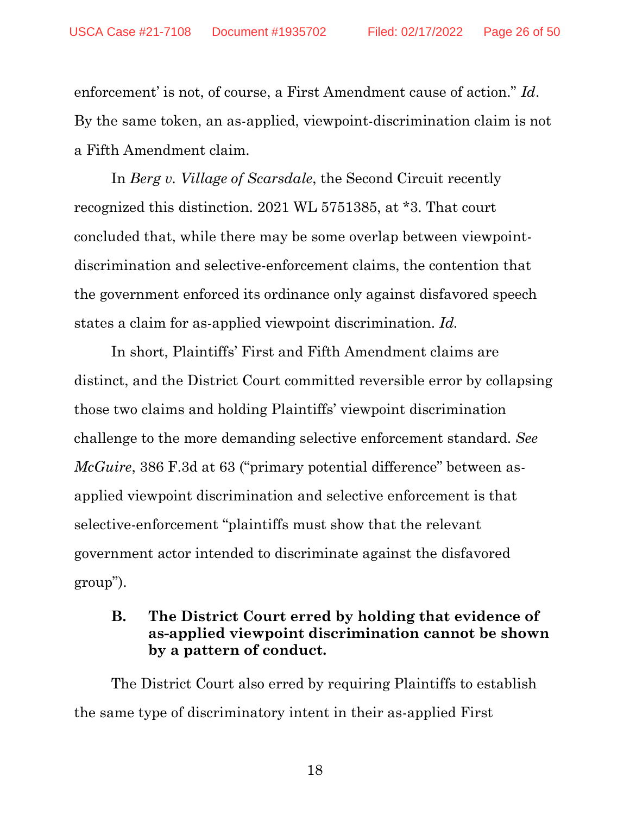enforcement' is not, of course, a First Amendment cause of action." *Id*. By the same token, an as-applied, viewpoint-discrimination claim is not a Fifth Amendment claim.

In *Berg v. Village of Scarsdale*, the Second Circuit recently recognized this distinction. 2021 WL 5751385, at \*3. That court concluded that, while there may be some overlap between viewpointdiscrimination and selective-enforcement claims, the contention that the government enforced its ordinance only against disfavored speech states a claim for as-applied viewpoint discrimination. *Id.*

In short, Plaintiffs' First and Fifth Amendment claims are distinct, and the District Court committed reversible error by collapsing those two claims and holding Plaintiffs' viewpoint discrimination challenge to the more demanding selective enforcement standard. *See McGuire*, 386 F.3d at 63 ("primary potential difference" between asapplied viewpoint discrimination and selective enforcement is that selective-enforcement "plaintiffs must show that the relevant government actor intended to discriminate against the disfavored group").

#### <span id="page-25-0"></span>**B. The District Court erred by holding that evidence of as-applied viewpoint discrimination cannot be shown by a pattern of conduct.**

The District Court also erred by requiring Plaintiffs to establish the same type of discriminatory intent in their as-applied First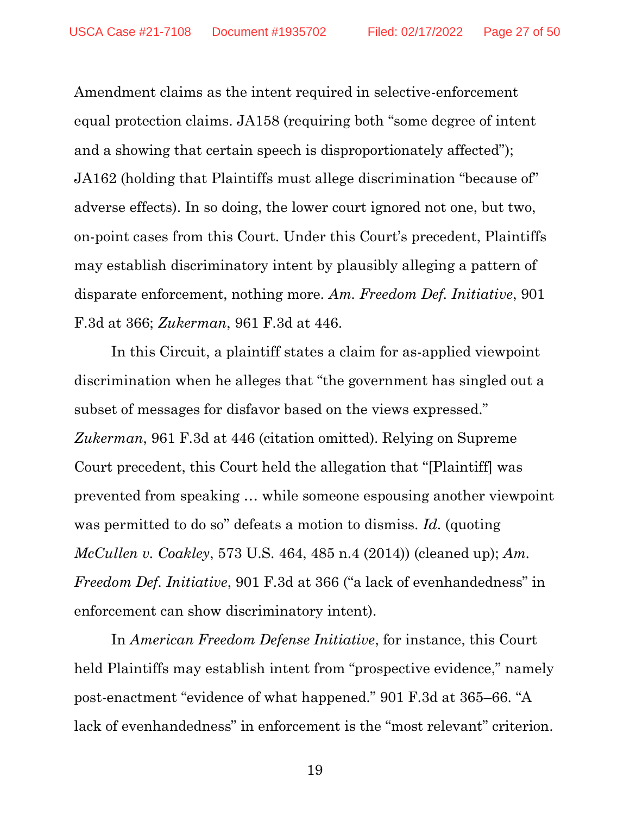Amendment claims as the intent required in selective-enforcement equal protection claims. JA158 (requiring both "some degree of intent and a showing that certain speech is disproportionately affected"); JA162 (holding that Plaintiffs must allege discrimination "because of" adverse effects). In so doing, the lower court ignored not one, but two, on-point cases from this Court. Under this Court's precedent, Plaintiffs may establish discriminatory intent by plausibly alleging a pattern of disparate enforcement, nothing more*. Am. Freedom Def. Initiative*, 901 F.3d at 366; *Zukerman*, 961 F.3d at 446.

In this Circuit, a plaintiff states a claim for as-applied viewpoint discrimination when he alleges that "the government has singled out a subset of messages for disfavor based on the views expressed." *Zukerman*, 961 F.3d at 446 (citation omitted). Relying on Supreme Court precedent, this Court held the allegation that "[Plaintiff] was prevented from speaking … while someone espousing another viewpoint was permitted to do so" defeats a motion to dismiss. *Id*. (quoting *McCullen v. Coakley*, 573 U.S. 464, 485 n.4 (2014)) (cleaned up); *Am. Freedom Def. Initiative*, 901 F.3d at 366 ("a lack of evenhandedness" in enforcement can show discriminatory intent).

In *American Freedom Defense Initiative*, for instance, this Court held Plaintiffs may establish intent from "prospective evidence," namely post-enactment "evidence of what happened." 901 F.3d at 365–66. "A lack of evenhandedness" in enforcement is the "most relevant" criterion.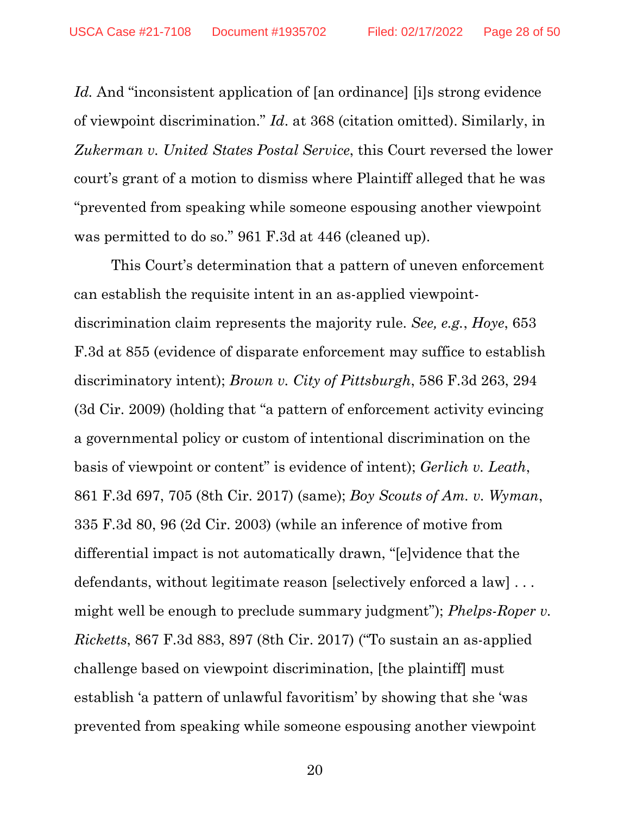Id. And "inconsistent application of [an ordinance] [i]s strong evidence of viewpoint discrimination." *Id*. at 368 (citation omitted). Similarly, in *Zukerman v. United States Postal Service*, this Court reversed the lower court's grant of a motion to dismiss where Plaintiff alleged that he was "prevented from speaking while someone espousing another viewpoint was permitted to do so." 961 F.3d at 446 (cleaned up).

This Court's determination that a pattern of uneven enforcement can establish the requisite intent in an as-applied viewpointdiscrimination claim represents the majority rule. *See, e.g.*, *Hoye*, 653 F.3d at 855 (evidence of disparate enforcement may suffice to establish discriminatory intent); *Brown v. City of Pittsburgh*, 586 F.3d 263, 294 (3d Cir. 2009) (holding that "a pattern of enforcement activity evincing a governmental policy or custom of intentional discrimination on the basis of viewpoint or content" is evidence of intent); *Gerlich v. Leath*, 861 F.3d 697, 705 (8th Cir. 2017) (same); *Boy Scouts of Am. v. Wyman*, 335 F.3d 80, 96 (2d Cir. 2003) (while an inference of motive from differential impact is not automatically drawn, "[e]vidence that the defendants, without legitimate reason [selectively enforced a law] . . . might well be enough to preclude summary judgment"); *Phelps-Roper v. Ricketts*, 867 F.3d 883, 897 (8th Cir. 2017) ("To sustain an as-applied challenge based on viewpoint discrimination, [the plaintiff] must establish 'a pattern of unlawful favoritism' by showing that she 'was prevented from speaking while someone espousing another viewpoint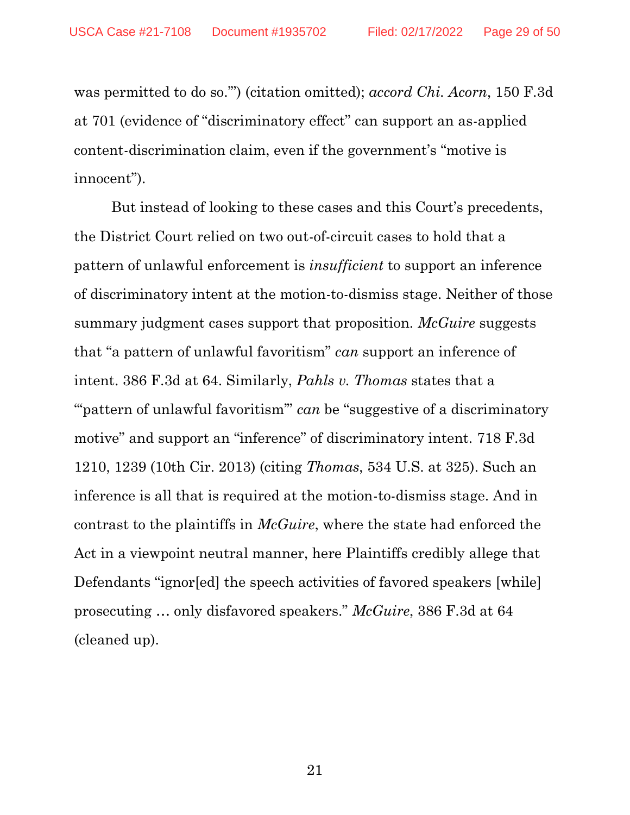was permitted to do so.'") (citation omitted); *accord Chi. Acorn*, 150 F.3d at 701 (evidence of "discriminatory effect" can support an as-applied content-discrimination claim, even if the government's "motive is innocent").

But instead of looking to these cases and this Court's precedents, the District Court relied on two out-of-circuit cases to hold that a pattern of unlawful enforcement is *insufficient* to support an inference of discriminatory intent at the motion-to-dismiss stage. Neither of those summary judgment cases support that proposition. *McGuire* suggests that "a pattern of unlawful favoritism" *can* support an inference of intent. 386 F.3d at 64. Similarly, *Pahls v. Thomas* states that a "" pattern of unlawful favoritism" *can* be "suggestive of a discriminatory" motive" and support an "inference" of discriminatory intent. 718 F.3d 1210, 1239 (10th Cir. 2013) (citing *Thomas*, 534 U.S. at 325). Such an inference is all that is required at the motion-to-dismiss stage. And in contrast to the plaintiffs in *McGuire*, where the state had enforced the Act in a viewpoint neutral manner, here Plaintiffs credibly allege that Defendants "ignor[ed] the speech activities of favored speakers [while] prosecuting … only disfavored speakers." *McGuire*, 386 F.3d at 64 (cleaned up).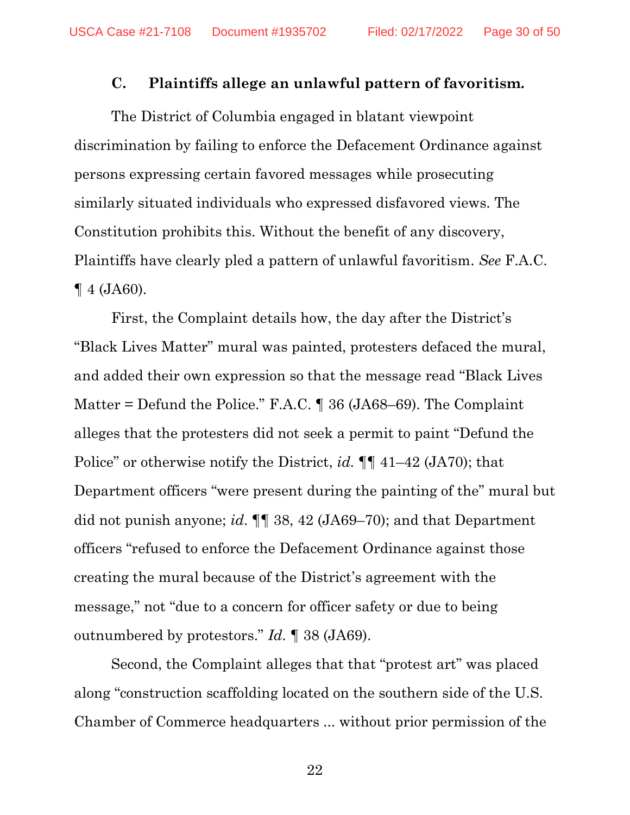#### **C. Plaintiffs allege an unlawful pattern of favoritism.**

<span id="page-29-0"></span>The District of Columbia engaged in blatant viewpoint discrimination by failing to enforce the Defacement Ordinance against persons expressing certain favored messages while prosecuting similarly situated individuals who expressed disfavored views. The Constitution prohibits this. Without the benefit of any discovery, Plaintiffs have clearly pled a pattern of unlawful favoritism. *See* F.A.C.  $\P$  4 (JA60).

First, the Complaint details how, the day after the District's "Black Lives Matter" mural was painted, protesters defaced the mural, and added their own expression so that the message read "Black Lives Matter = Defund the Police." F.A.C. ¶ 36 (JA68–69). The Complaint alleges that the protesters did not seek a permit to paint "Defund the Police" or otherwise notify the District, *id.* ¶¶ 41–42 (JA70); that Department officers "were present during the painting of the" mural but did not punish anyone; *id*. ¶¶ 38, 42 (JA69–70); and that Department officers "refused to enforce the Defacement Ordinance against those creating the mural because of the District's agreement with the message," not "due to a concern for officer safety or due to being outnumbered by protestors." *Id.* ¶ 38 (JA69).

Second, the Complaint alleges that that "protest art" was placed along "construction scaffolding located on the southern side of the U.S. Chamber of Commerce headquarters ... without prior permission of the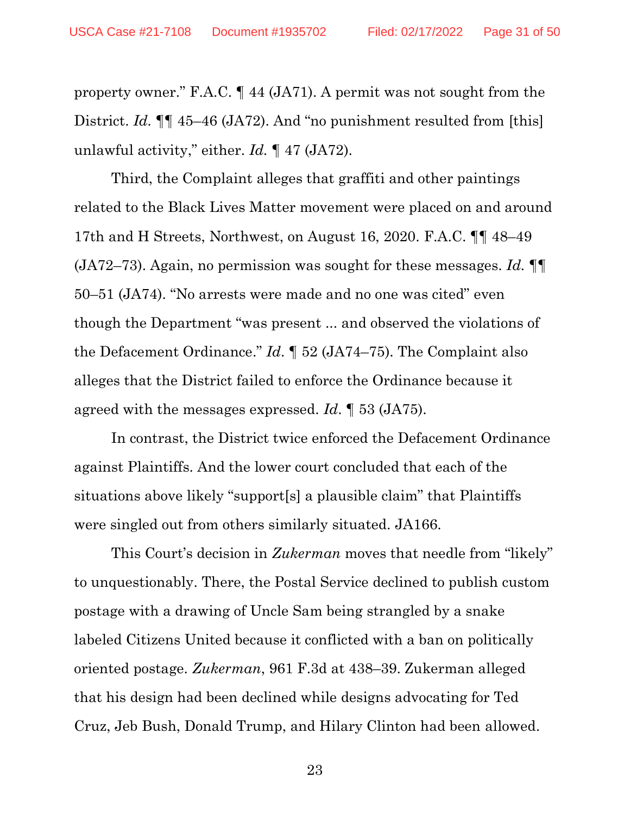property owner." F.A.C. ¶ 44 (JA71). A permit was not sought from the District. *Id.*  $\P\P$  45–46 (JA72). And "no punishment resulted from [this] unlawful activity," either. *Id.* ¶ 47 (JA72).

Third, the Complaint alleges that graffiti and other paintings related to the Black Lives Matter movement were placed on and around 17th and H Streets, Northwest, on August 16, 2020. F.A.C. ¶¶ 48–49 (JA72–73). Again, no permission was sought for these messages. *Id.* ¶¶ 50–51 (JA74). "No arrests were made and no one was cited" even though the Department "was present ... and observed the violations of the Defacement Ordinance." *Id*. ¶ 52 (JA74–75). The Complaint also alleges that the District failed to enforce the Ordinance because it agreed with the messages expressed. *Id*. ¶ 53 (JA75).

In contrast, the District twice enforced the Defacement Ordinance against Plaintiffs. And the lower court concluded that each of the situations above likely "support[s] a plausible claim" that Plaintiffs were singled out from others similarly situated. JA166.

This Court's decision in *Zukerman* moves that needle from "likely" to unquestionably. There, the Postal Service declined to publish custom postage with a drawing of Uncle Sam being strangled by a snake labeled Citizens United because it conflicted with a ban on politically oriented postage. *Zukerman*, 961 F.3d at 438–39. Zukerman alleged that his design had been declined while designs advocating for Ted Cruz, Jeb Bush, Donald Trump, and Hilary Clinton had been allowed.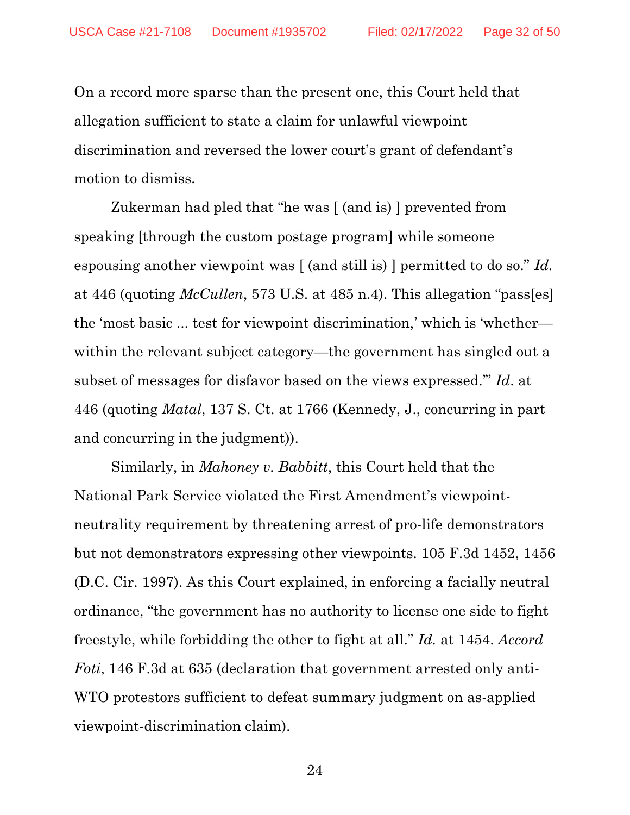On a record more sparse than the present one, this Court held that allegation sufficient to state a claim for unlawful viewpoint discrimination and reversed the lower court's grant of defendant's motion to dismiss.

Zukerman had pled that "he was [ (and is) ] prevented from speaking [through the custom postage program] while someone espousing another viewpoint was [ (and still is) ] permitted to do so." *Id.* at 446 (quoting *McCullen*, 573 U.S. at 485 n.4). This allegation "pass[es] the 'most basic ... test for viewpoint discrimination,' which is 'whether within the relevant subject category—the government has singled out a subset of messages for disfavor based on the views expressed.'" *Id*. at 446 (quoting *Matal*, 137 S. Ct. at 1766 (Kennedy, J., concurring in part and concurring in the judgment)).

Similarly, in *Mahoney v. Babbitt*, this Court held that the National Park Service violated the First Amendment's viewpointneutrality requirement by threatening arrest of pro-life demonstrators but not demonstrators expressing other viewpoints. 105 F.3d 1452, 1456 (D.C. Cir. 1997). As this Court explained, in enforcing a facially neutral ordinance, "the government has no authority to license one side to fight freestyle, while forbidding the other to fight at all." *Id.* at 1454. *Accord Foti*, 146 F.3d at 635 (declaration that government arrested only anti-WTO protestors sufficient to defeat summary judgment on as-applied viewpoint-discrimination claim).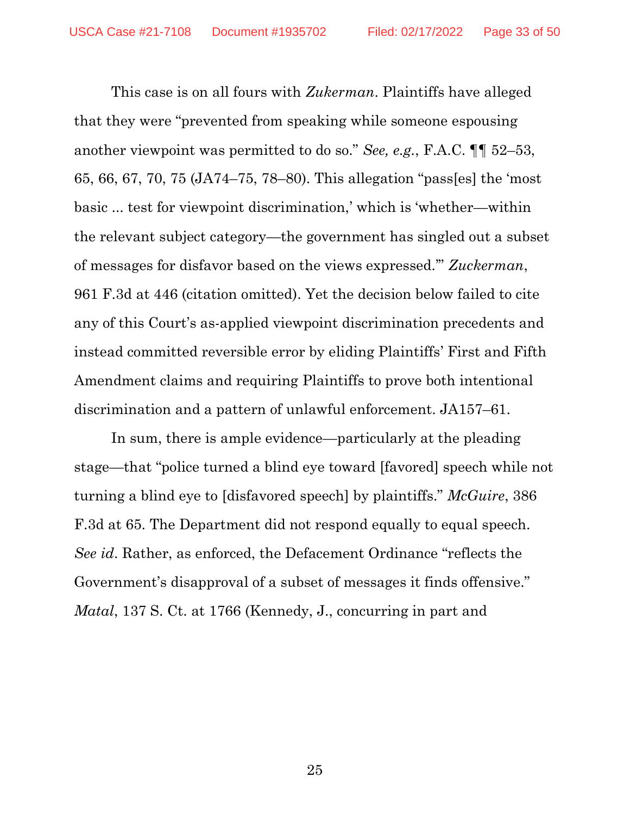This case is on all fours with *Zukerman*. Plaintiffs have alleged that they were "prevented from speaking while someone espousing another viewpoint was permitted to do so." *See, e.g.*, F.A.C. ¶¶ 52–53, 65, 66, 67, 70, 75 (JA74–75, 78–80). This allegation "pass[es] the 'most basic ... test for viewpoint discrimination,' which is 'whether—within the relevant subject category—the government has singled out a subset of messages for disfavor based on the views expressed.'" *Zuckerman*, 961 F.3d at 446 (citation omitted). Yet the decision below failed to cite any of this Court's as-applied viewpoint discrimination precedents and instead committed reversible error by eliding Plaintiffs' First and Fifth Amendment claims and requiring Plaintiffs to prove both intentional discrimination and a pattern of unlawful enforcement. JA157–61.

In sum, there is ample evidence—particularly at the pleading stage—that "police turned a blind eye toward [favored] speech while not turning a blind eye to [disfavored speech] by plaintiffs." *McGuire*, 386 F.3d at 65. The Department did not respond equally to equal speech. *See id*. Rather, as enforced, the Defacement Ordinance "reflects the Government's disapproval of a subset of messages it finds offensive." *Matal*, 137 S. Ct. at 1766 (Kennedy, J., concurring in part and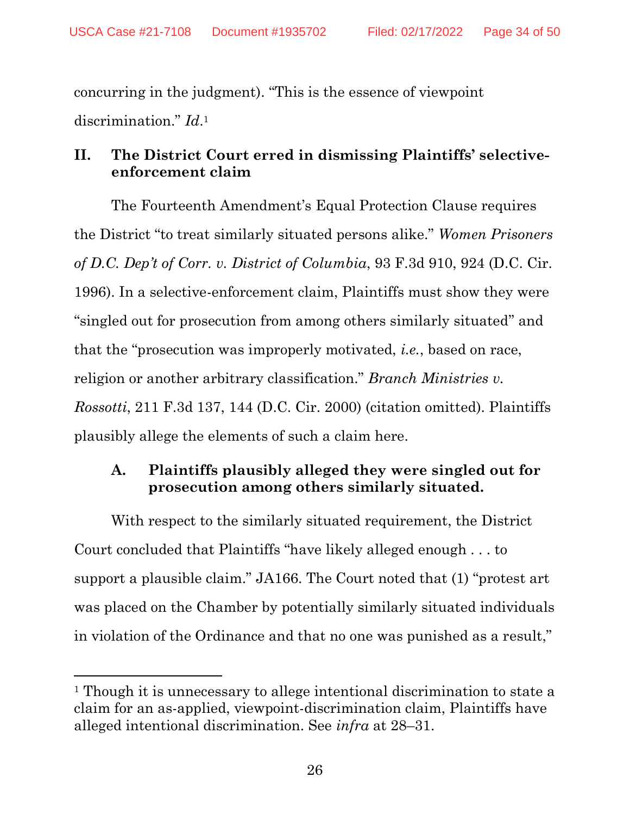concurring in the judgment). "This is the essence of viewpoint discrimination." *Id*. 1

### <span id="page-33-0"></span>**II. The District Court erred in dismissing Plaintiffs' selectiveenforcement claim**

The Fourteenth Amendment's Equal Protection Clause requires the District "to treat similarly situated persons alike." *Women Prisoners of D.C. Dep't of Corr. v. District of Columbia*, 93 F.3d 910, 924 (D.C. Cir. 1996). In a selective-enforcement claim, Plaintiffs must show they were "singled out for prosecution from among others similarly situated" and that the "prosecution was improperly motivated, *i.e.*, based on race, religion or another arbitrary classification." *Branch Ministries v. Rossotti*, 211 F.3d 137, 144 (D.C. Cir. 2000) (citation omitted). Plaintiffs plausibly allege the elements of such a claim here.

# <span id="page-33-1"></span>**A. Plaintiffs plausibly alleged they were singled out for prosecution among others similarly situated.**

With respect to the similarly situated requirement, the District Court concluded that Plaintiffs "have likely alleged enough . . . to support a plausible claim." JA166. The Court noted that (1) "protest art was placed on the Chamber by potentially similarly situated individuals in violation of the Ordinance and that no one was punished as a result,"

<sup>1</sup> Though it is unnecessary to allege intentional discrimination to state a claim for an as-applied, viewpoint-discrimination claim, Plaintiffs have alleged intentional discrimination. See *infra* at 28–31.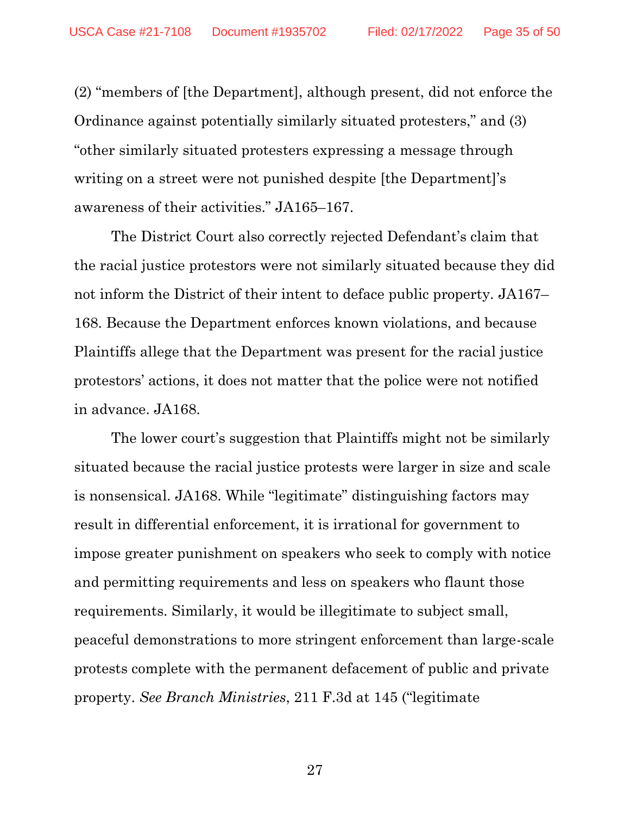(2) "members of [the Department], although present, did not enforce the Ordinance against potentially similarly situated protesters," and (3) "other similarly situated protesters expressing a message through writing on a street were not punished despite [the Department]'s awareness of their activities." JA165–167.

The District Court also correctly rejected Defendant's claim that the racial justice protestors were not similarly situated because they did not inform the District of their intent to deface public property. JA167– 168. Because the Department enforces known violations, and because Plaintiffs allege that the Department was present for the racial justice protestors' actions, it does not matter that the police were not notified in advance. JA168.

The lower court's suggestion that Plaintiffs might not be similarly situated because the racial justice protests were larger in size and scale is nonsensical. JA168. While "legitimate" distinguishing factors may result in differential enforcement, it is irrational for government to impose greater punishment on speakers who seek to comply with notice and permitting requirements and less on speakers who flaunt those requirements. Similarly, it would be illegitimate to subject small, peaceful demonstrations to more stringent enforcement than large-scale protests complete with the permanent defacement of public and private property. *See Branch Ministries*, 211 F.3d at 145 ("legitimate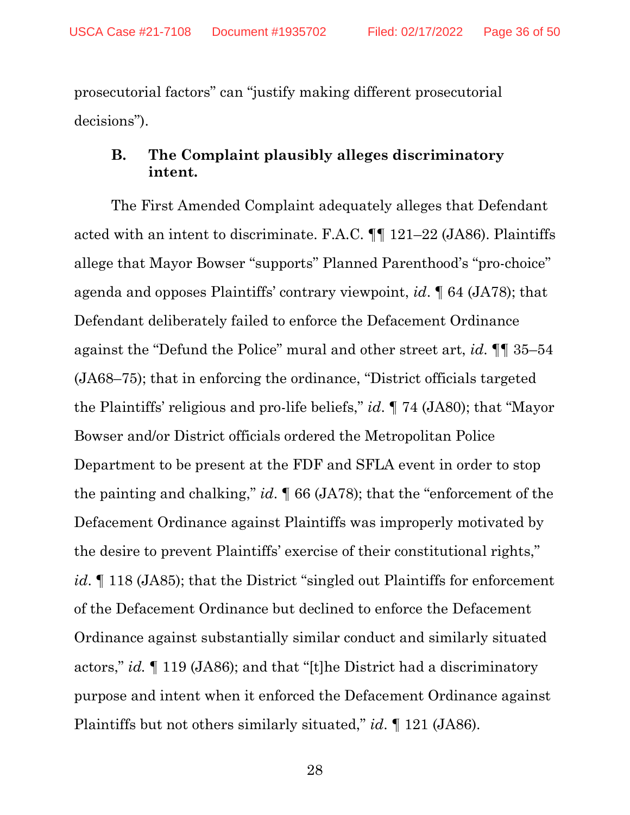prosecutorial factors" can "justify making different prosecutorial decisions").

#### <span id="page-35-0"></span>**B. The Complaint plausibly alleges discriminatory intent.**

The First Amended Complaint adequately alleges that Defendant acted with an intent to discriminate. F.A.C. ¶¶ 121–22 (JA86). Plaintiffs allege that Mayor Bowser "supports" Planned Parenthood's "pro-choice" agenda and opposes Plaintiffs' contrary viewpoint, *id*. ¶ 64 (JA78); that Defendant deliberately failed to enforce the Defacement Ordinance against the "Defund the Police" mural and other street art, *id*. ¶¶ 35–54 (JA68–75); that in enforcing the ordinance, "District officials targeted the Plaintiffs' religious and pro-life beliefs," *id*. ¶ 74 (JA80); that "Mayor Bowser and/or District officials ordered the Metropolitan Police Department to be present at the FDF and SFLA event in order to stop the painting and chalking," *id*. ¶ 66 (JA78); that the "enforcement of the Defacement Ordinance against Plaintiffs was improperly motivated by the desire to prevent Plaintiffs' exercise of their constitutional rights," *id*. If 118 (JA85); that the District "singled out Plaintiffs for enforcement of the Defacement Ordinance but declined to enforce the Defacement Ordinance against substantially similar conduct and similarly situated actors," *id.* ¶ 119 (JA86); and that "[t]he District had a discriminatory purpose and intent when it enforced the Defacement Ordinance against Plaintiffs but not others similarly situated," *id*. ¶ 121 (JA86).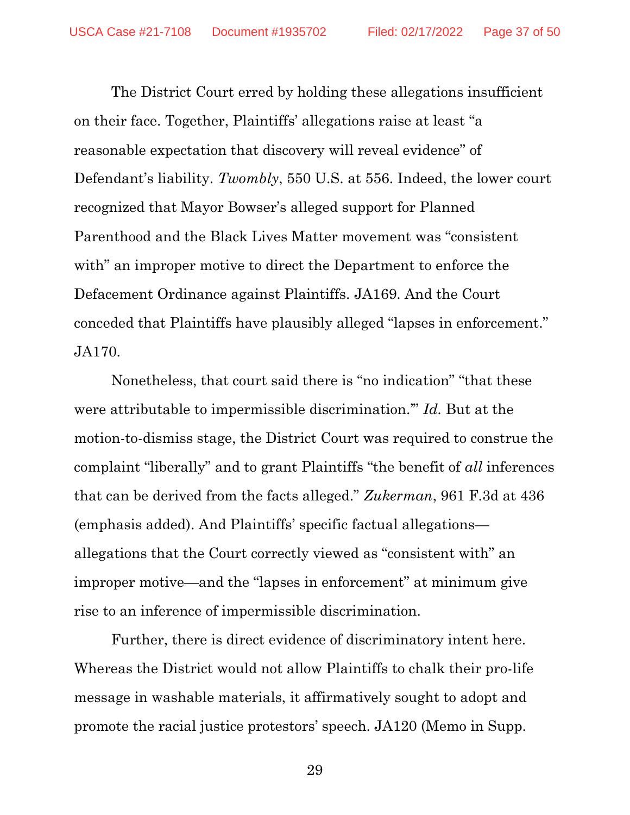The District Court erred by holding these allegations insufficient on their face. Together, Plaintiffs' allegations raise at least "a reasonable expectation that discovery will reveal evidence" of Defendant's liability. *Twombly*, 550 U.S. at 556. Indeed, the lower court recognized that Mayor Bowser's alleged support for Planned Parenthood and the Black Lives Matter movement was "consistent with" an improper motive to direct the Department to enforce the Defacement Ordinance against Plaintiffs. JA169. And the Court conceded that Plaintiffs have plausibly alleged "lapses in enforcement." JA170.

Nonetheless, that court said there is "no indication" "that these were attributable to impermissible discrimination.'" *Id.* But at the motion-to-dismiss stage, the District Court was required to construe the complaint "liberally" and to grant Plaintiffs "the benefit of *all* inferences that can be derived from the facts alleged." *Zukerman*, 961 F.3d at 436 (emphasis added). And Plaintiffs' specific factual allegations allegations that the Court correctly viewed as "consistent with" an improper motive—and the "lapses in enforcement" at minimum give rise to an inference of impermissible discrimination.

Further, there is direct evidence of discriminatory intent here. Whereas the District would not allow Plaintiffs to chalk their pro-life message in washable materials, it affirmatively sought to adopt and promote the racial justice protestors' speech. JA120 (Memo in Supp.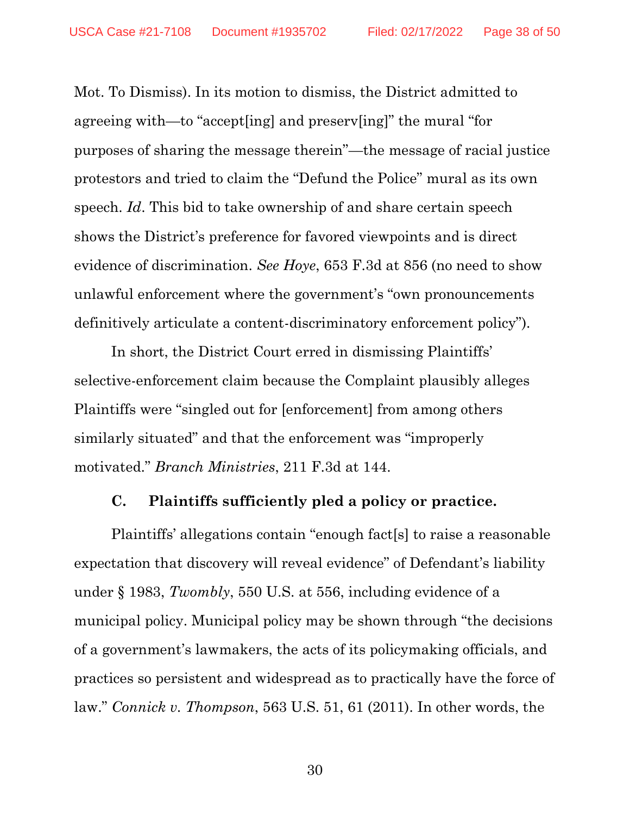Mot. To Dismiss). In its motion to dismiss, the District admitted to agreeing with—to "accept[ing] and preserv[ing]" the mural "for purposes of sharing the message therein"—the message of racial justice protestors and tried to claim the "Defund the Police" mural as its own speech. *Id*. This bid to take ownership of and share certain speech shows the District's preference for favored viewpoints and is direct evidence of discrimination. *See Hoye*, 653 F.3d at 856 (no need to show unlawful enforcement where the government's "own pronouncements definitively articulate a content-discriminatory enforcement policy").

In short, the District Court erred in dismissing Plaintiffs' selective-enforcement claim because the Complaint plausibly alleges Plaintiffs were "singled out for [enforcement] from among others similarly situated" and that the enforcement was "improperly motivated." *Branch Ministries*, 211 F.3d at 144.

#### <span id="page-37-0"></span>**C. Plaintiffs sufficiently pled a policy or practice.**

Plaintiffs' allegations contain "enough fact[s] to raise a reasonable expectation that discovery will reveal evidence" of Defendant's liability under § 1983, *Twombly*, 550 U.S. at 556, including evidence of a municipal policy. Municipal policy may be shown through "the decisions of a government's lawmakers, the acts of its policymaking officials, and practices so persistent and widespread as to practically have the force of law." *Connick v. Thompson*, 563 U.S. 51, 61 (2011). In other words, the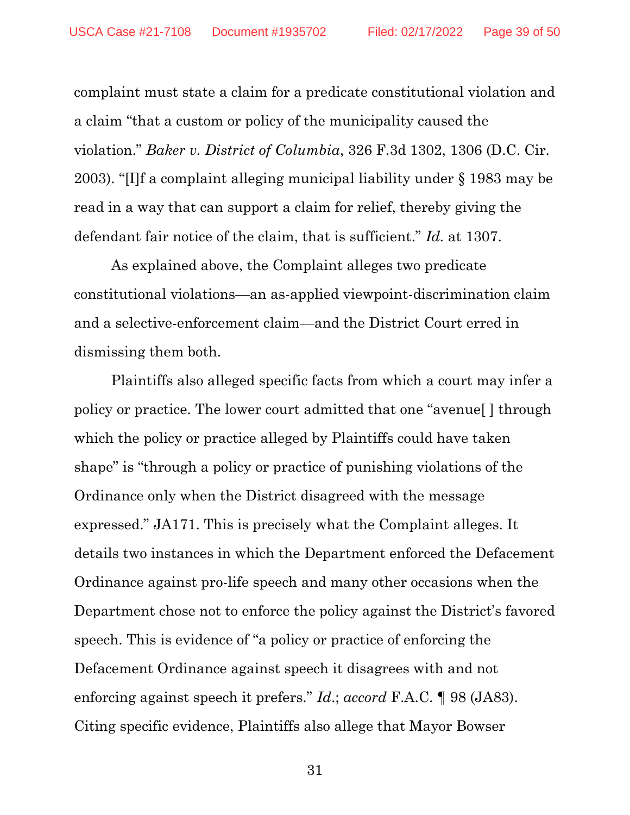complaint must state a claim for a predicate constitutional violation and a claim "that a custom or policy of the municipality caused the violation." *Baker v. District of Columbia*, 326 F.3d 1302, 1306 (D.C. Cir. 2003). "[I]f a complaint alleging municipal liability under § 1983 may be read in a way that can support a claim for relief, thereby giving the defendant fair notice of the claim, that is sufficient." *Id.* at 1307.

As explained above, the Complaint alleges two predicate constitutional violations—an as-applied viewpoint-discrimination claim and a selective-enforcement claim—and the District Court erred in dismissing them both.

Plaintiffs also alleged specific facts from which a court may infer a policy or practice. The lower court admitted that one "avenue[ ] through which the policy or practice alleged by Plaintiffs could have taken shape" is "through a policy or practice of punishing violations of the Ordinance only when the District disagreed with the message expressed." JA171. This is precisely what the Complaint alleges. It details two instances in which the Department enforced the Defacement Ordinance against pro-life speech and many other occasions when the Department chose not to enforce the policy against the District's favored speech. This is evidence of "a policy or practice of enforcing the Defacement Ordinance against speech it disagrees with and not enforcing against speech it prefers." *Id*.; *accord* F.A.C. ¶ 98 (JA83). Citing specific evidence, Plaintiffs also allege that Mayor Bowser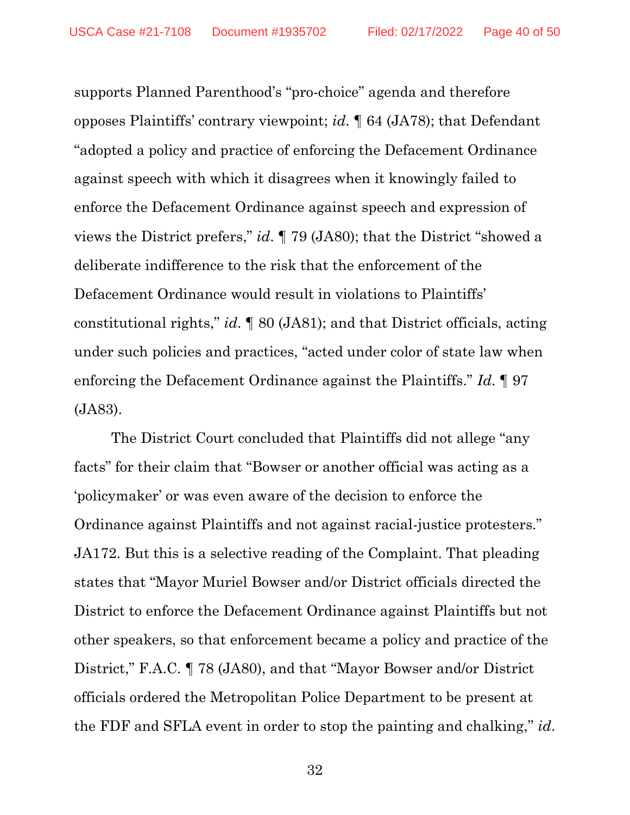supports Planned Parenthood's "pro-choice" agenda and therefore opposes Plaintiffs' contrary viewpoint; *id*. ¶ 64 (JA78); that Defendant "adopted a policy and practice of enforcing the Defacement Ordinance against speech with which it disagrees when it knowingly failed to enforce the Defacement Ordinance against speech and expression of views the District prefers," *id*. ¶ 79 (JA80); that the District "showed a deliberate indifference to the risk that the enforcement of the Defacement Ordinance would result in violations to Plaintiffs' constitutional rights," *id*. ¶ 80 (JA81); and that District officials, acting under such policies and practices, "acted under color of state law when enforcing the Defacement Ordinance against the Plaintiffs." *Id*. ¶ 97 (JA83).

The District Court concluded that Plaintiffs did not allege "any facts" for their claim that "Bowser or another official was acting as a 'policymaker' or was even aware of the decision to enforce the Ordinance against Plaintiffs and not against racial-justice protesters." JA172. But this is a selective reading of the Complaint. That pleading states that "Mayor Muriel Bowser and/or District officials directed the District to enforce the Defacement Ordinance against Plaintiffs but not other speakers, so that enforcement became a policy and practice of the District," F.A.C. ¶ 78 (JA80), and that "Mayor Bowser and/or District officials ordered the Metropolitan Police Department to be present at the FDF and SFLA event in order to stop the painting and chalking," *id*.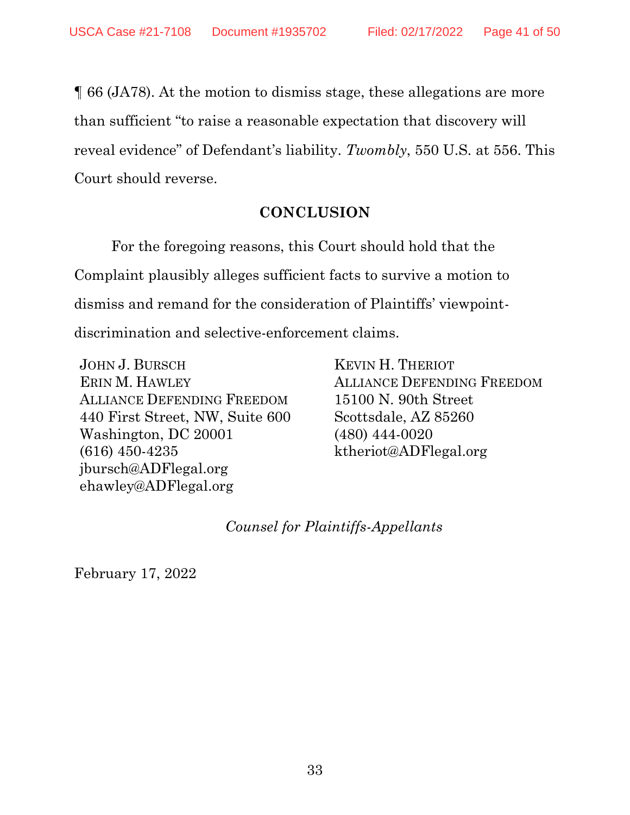¶ 66 (JA78). At the motion to dismiss stage, these allegations are more than sufficient "to raise a reasonable expectation that discovery will reveal evidence" of Defendant's liability. *Twombly*, 550 U.S. at 556. This Court should reverse.

#### **CONCLUSION**

<span id="page-40-0"></span>For the foregoing reasons, this Court should hold that the Complaint plausibly alleges sufficient facts to survive a motion to dismiss and remand for the consideration of Plaintiffs' viewpointdiscrimination and selective-enforcement claims.

JOHN J. BURSCH ERIN M. HAWLEY ALLIANCE DEFENDING FREEDOM 440 First Street, NW, Suite 600 Washington, DC 20001 (616) 450-4235 jbursch@ADFlegal.org ehawley@ADFlegal.org

KEVIN H. THERIOT ALLIANCE DEFENDING FREEDOM 15100 N. 90th Street Scottsdale, AZ 85260 (480) 444-0020 ktheriot@ADFlegal.org

*Counsel for Plaintiffs-Appellants*

February 17, 2022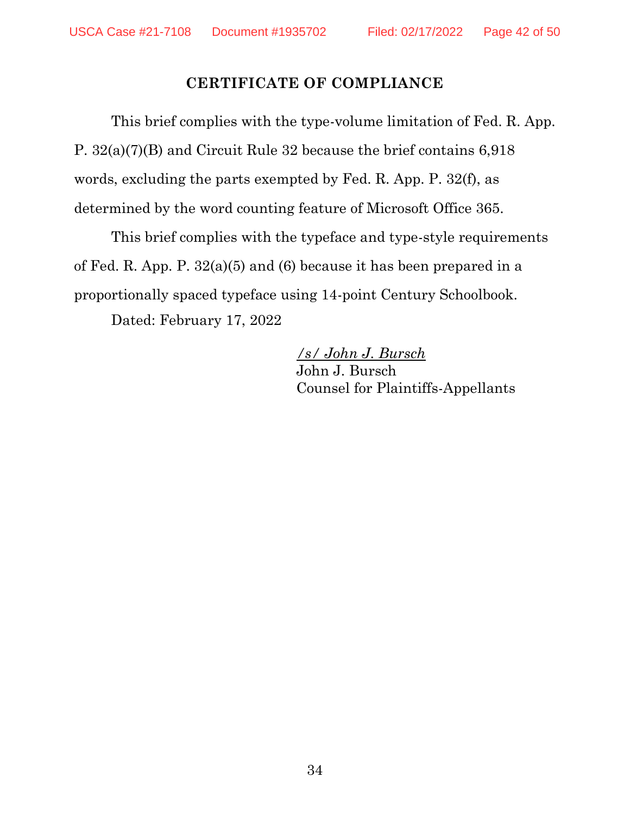#### **CERTIFICATE OF COMPLIANCE**

<span id="page-41-0"></span>This brief complies with the type-volume limitation of Fed. R. App. P. 32(a)(7)(B) and Circuit Rule 32 because the brief contains 6,918 words, excluding the parts exempted by Fed. R. App. P. 32(f), as determined by the word counting feature of Microsoft Office 365.

This brief complies with the typeface and type-style requirements of Fed. R. App. P. 32(a)(5) and (6) because it has been prepared in a proportionally spaced typeface using 14-point Century Schoolbook.

Dated: February 17, 2022

*/s/ John J. Bursch* John J. Bursch Counsel for Plaintiffs-Appellants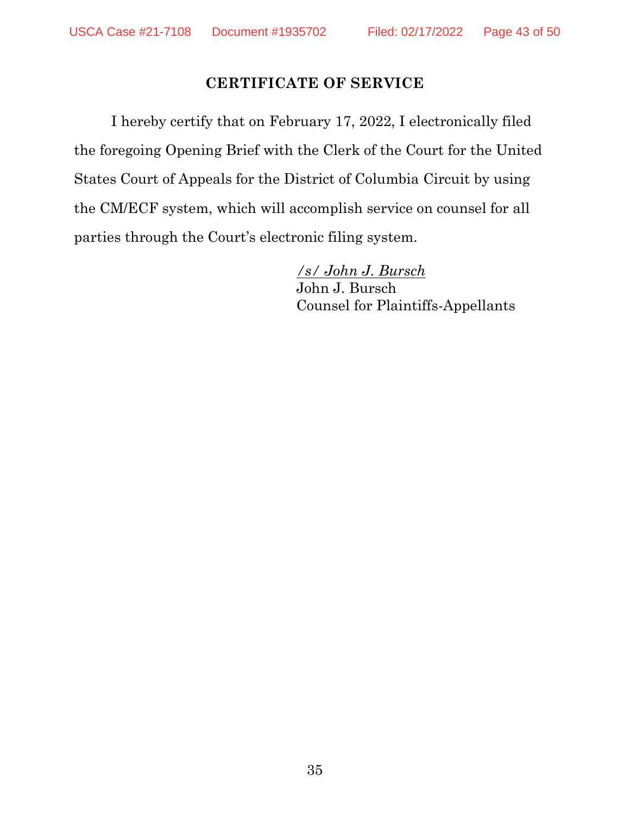#### **CERTIFICATE OF SERVICE**

<span id="page-42-0"></span>I hereby certify that on February 17, 2022, I electronically filed the foregoing Opening Brief with the Clerk of the Court for the United States Court of Appeals for the District of Columbia Circuit by using the CM/ECF system, which will accomplish service on counsel for all parties through the Court's electronic filing system.

> */s/ John J. Bursch* John J. Bursch Counsel for Plaintiffs-Appellants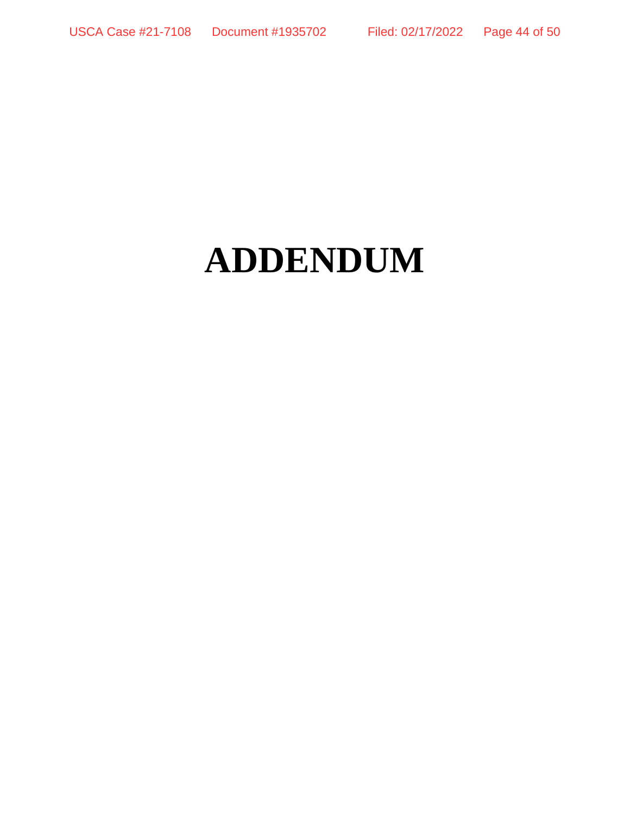# **ADDENDUM**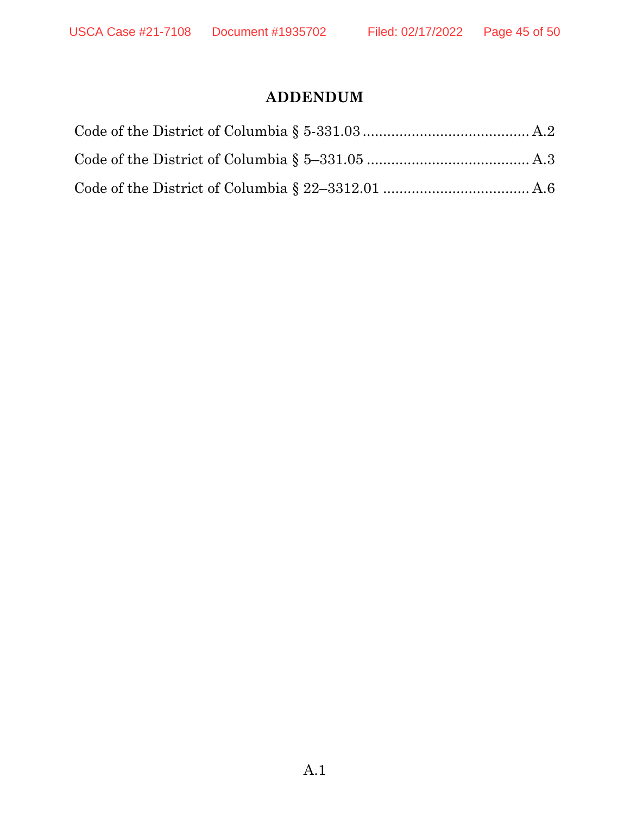# **ADDENDUM**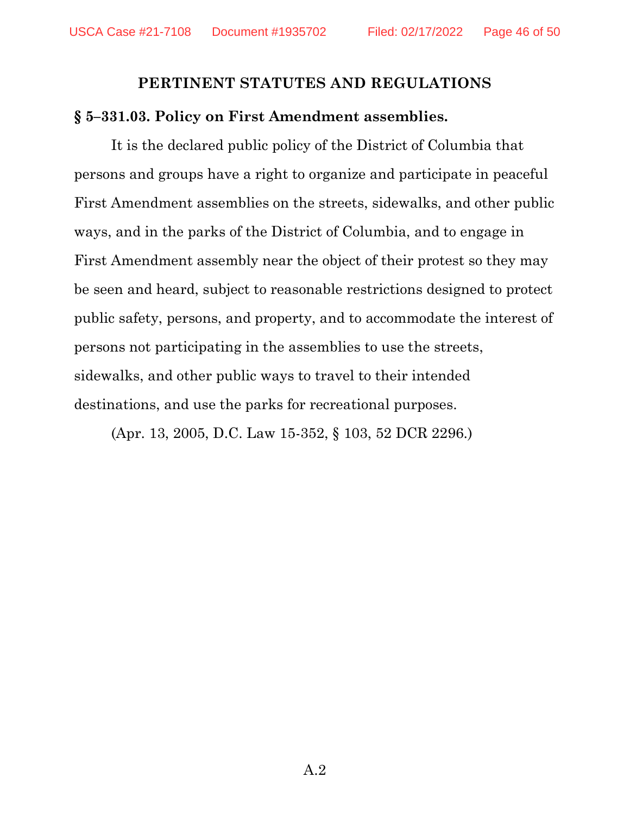#### **PERTINENT STATUTES AND REGULATIONS**

#### **§ 5–331.03. Policy on First Amendment assemblies.**

It is the declared public policy of the District of Columbia that persons and groups have a right to organize and participate in peaceful First Amendment assemblies on the streets, sidewalks, and other public ways, and in the parks of the District of Columbia, and to engage in First Amendment assembly near the object of their protest so they may be seen and heard, subject to reasonable restrictions designed to protect public safety, persons, and property, and to accommodate the interest of persons not participating in the assemblies to use the streets, sidewalks, and other public ways to travel to their intended destinations, and use the parks for recreational purposes.

(Apr. 13, 2005, D.C. Law 15-352, § 103, 52 DCR 2296.)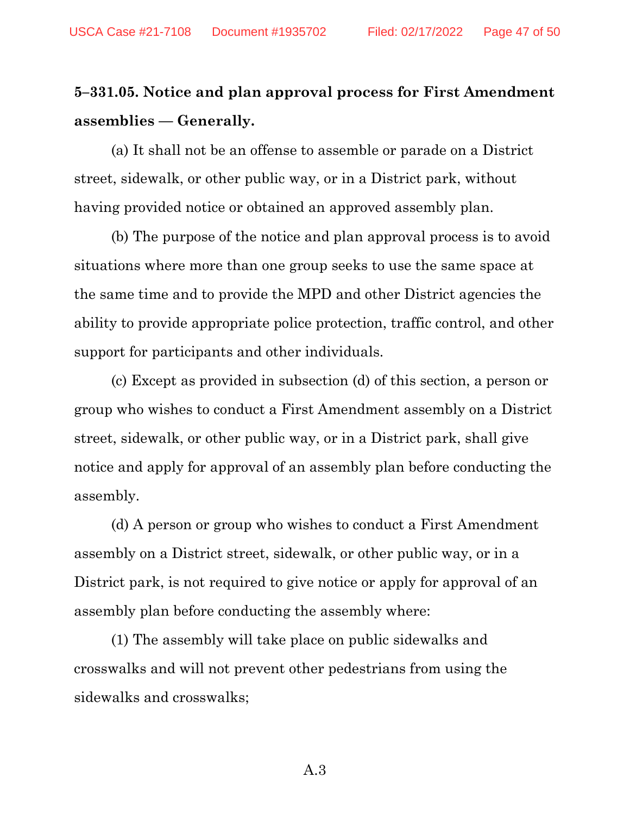# **5–331.05. Notice and plan approval process for First Amendment assemblies — Generally.**

(a) It shall not be an offense to assemble or parade on a District street, sidewalk, or other public way, or in a District park, without having provided notice or obtained an approved assembly plan.

(b) The purpose of the notice and plan approval process is to avoid situations where more than one group seeks to use the same space at the same time and to provide the MPD and other District agencies the ability to provide appropriate police protection, traffic control, and other support for participants and other individuals.

(c) Except as provided in subsection (d) of this section, a person or group who wishes to conduct a First Amendment assembly on a District street, sidewalk, or other public way, or in a District park, shall give notice and apply for approval of an assembly plan before conducting the assembly.

(d) A person or group who wishes to conduct a First Amendment assembly on a District street, sidewalk, or other public way, or in a District park, is not required to give notice or apply for approval of an assembly plan before conducting the assembly where:

(1) The assembly will take place on public sidewalks and crosswalks and will not prevent other pedestrians from using the sidewalks and crosswalks;

A.3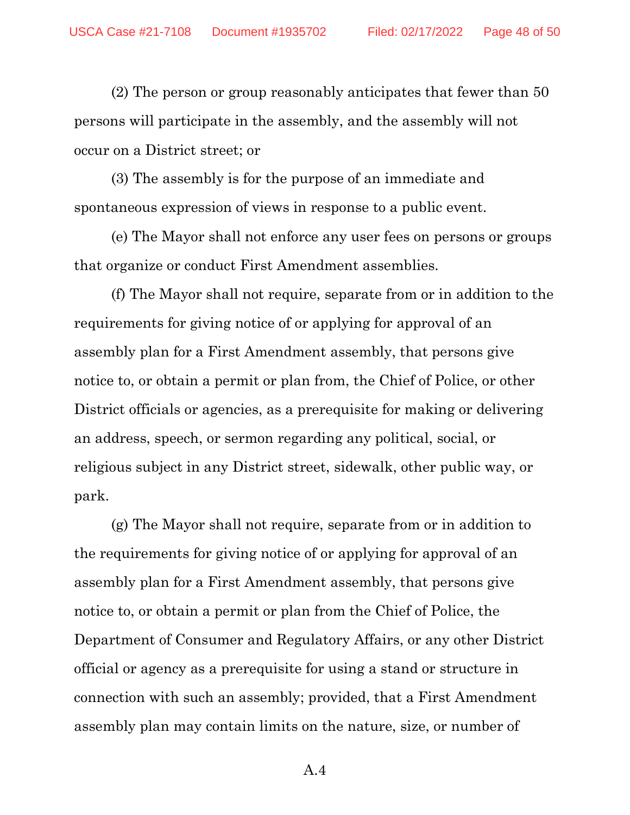(2) The person or group reasonably anticipates that fewer than 50 persons will participate in the assembly, and the assembly will not occur on a District street; or

(3) The assembly is for the purpose of an immediate and spontaneous expression of views in response to a public event.

(e) The Mayor shall not enforce any user fees on persons or groups that organize or conduct First Amendment assemblies.

(f) The Mayor shall not require, separate from or in addition to the requirements for giving notice of or applying for approval of an assembly plan for a First Amendment assembly, that persons give notice to, or obtain a permit or plan from, the Chief of Police, or other District officials or agencies, as a prerequisite for making or delivering an address, speech, or sermon regarding any political, social, or religious subject in any District street, sidewalk, other public way, or park.

(g) The Mayor shall not require, separate from or in addition to the requirements for giving notice of or applying for approval of an assembly plan for a First Amendment assembly, that persons give notice to, or obtain a permit or plan from the Chief of Police, the Department of Consumer and Regulatory Affairs, or any other District official or agency as a prerequisite for using a stand or structure in connection with such an assembly; provided, that a First Amendment assembly plan may contain limits on the nature, size, or number of

A.4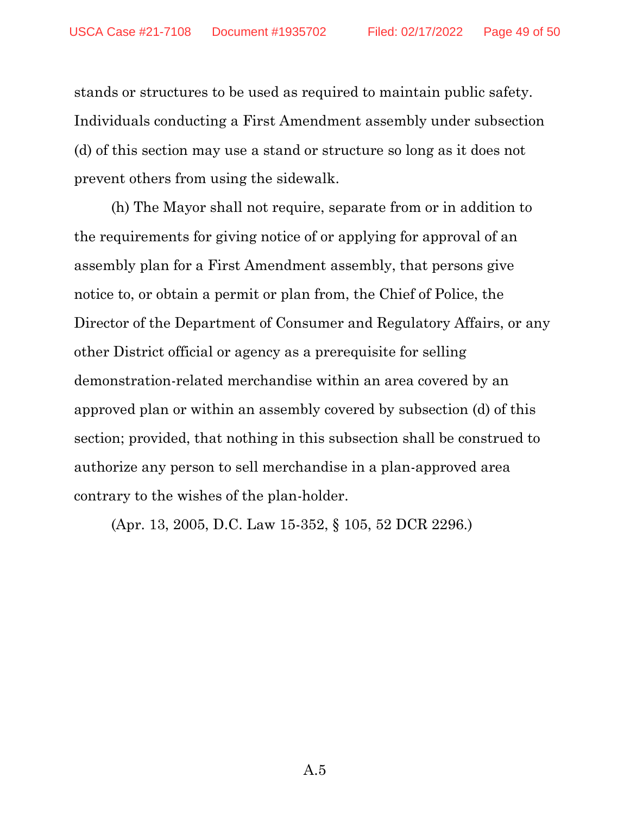stands or structures to be used as required to maintain public safety. Individuals conducting a First Amendment assembly under subsection (d) of this section may use a stand or structure so long as it does not prevent others from using the sidewalk.

(h) The Mayor shall not require, separate from or in addition to the requirements for giving notice of or applying for approval of an assembly plan for a First Amendment assembly, that persons give notice to, or obtain a permit or plan from, the Chief of Police, the Director of the Department of Consumer and Regulatory Affairs, or any other District official or agency as a prerequisite for selling demonstration-related merchandise within an area covered by an approved plan or within an assembly covered by subsection (d) of this section; provided, that nothing in this subsection shall be construed to authorize any person to sell merchandise in a plan-approved area contrary to the wishes of the plan-holder.

(Apr. 13, 2005, D.C. Law 15-352, § 105, 52 DCR 2296.)